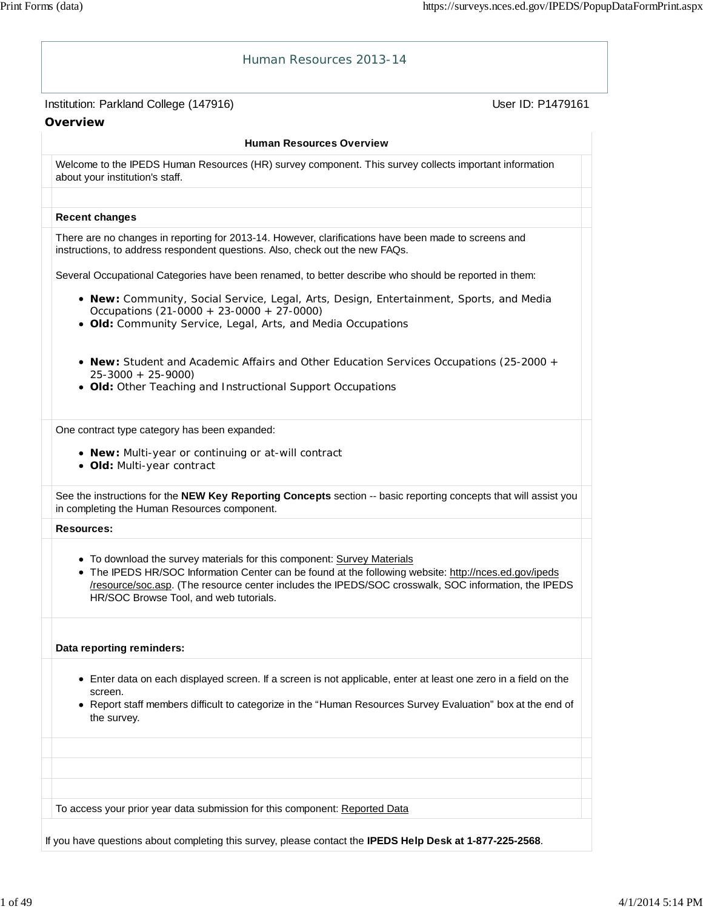| Institution: Parkland College (147916)                                                                                                                                                                                                                                                                                             | User ID: P1479161 |
|------------------------------------------------------------------------------------------------------------------------------------------------------------------------------------------------------------------------------------------------------------------------------------------------------------------------------------|-------------------|
| Overview                                                                                                                                                                                                                                                                                                                           |                   |
| <b>Human Resources Overview</b>                                                                                                                                                                                                                                                                                                    |                   |
| Welcome to the IPEDS Human Resources (HR) survey component. This survey collects important information<br>about your institution's staff.                                                                                                                                                                                          |                   |
| <b>Recent changes</b>                                                                                                                                                                                                                                                                                                              |                   |
| There are no changes in reporting for 2013-14. However, clarifications have been made to screens and<br>instructions, to address respondent questions. Also, check out the new FAQs.                                                                                                                                               |                   |
| Several Occupational Categories have been renamed, to better describe who should be reported in them:                                                                                                                                                                                                                              |                   |
| . New: Community, Social Service, Legal, Arts, Design, Entertainment, Sports, and Media<br>Occupations (21-0000 + 23-0000 + 27-0000)<br>· Old: Community Service, Legal, Arts, and Media Occupations                                                                                                                               |                   |
| • New: Student and Academic Affairs and Other Education Services Occupations (25-2000 +<br>$25-3000 + 25-9000$<br>• Old: Other Teaching and Instructional Support Occupations                                                                                                                                                      |                   |
| One contract type category has been expanded:<br>• New: Multi-year or continuing or at-will contract<br>· Old: Multi-year contract                                                                                                                                                                                                 |                   |
| See the instructions for the NEW Key Reporting Concepts section -- basic reporting concepts that will assist you<br>in completing the Human Resources component.                                                                                                                                                                   |                   |
| <b>Resources:</b>                                                                                                                                                                                                                                                                                                                  |                   |
| • To download the survey materials for this component: Survey Materials<br>• The IPEDS HR/SOC Information Center can be found at the following website: http://nces.ed.gov/ipeds<br>/resource/soc.asp. (The resource center includes the IPEDS/SOC crosswalk, SOC information, the IPEDS<br>HR/SOC Browse Tool, and web tutorials. |                   |
| Data reporting reminders:                                                                                                                                                                                                                                                                                                          |                   |
| • Enter data on each displayed screen. If a screen is not applicable, enter at least one zero in a field on the<br>screen.<br>• Report staff members difficult to categorize in the "Human Resources Survey Evaluation" box at the end of<br>the survey.                                                                           |                   |
|                                                                                                                                                                                                                                                                                                                                    |                   |

If you have questions about completing this survey, please contact the **IPEDS Help Desk at 1-877-225-2568**.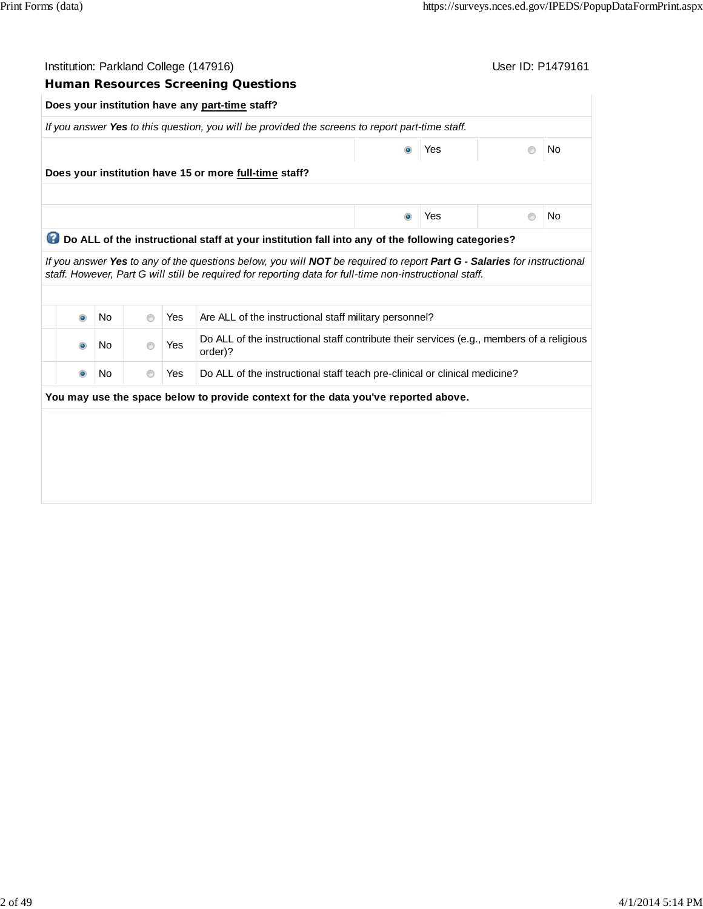|           | Institution: Parkland College (147916)<br><b>Human Resources Screening Questions</b> |                |            |                                                                                                                                                                                                                                    |                |     | User ID: P1479161 |           |
|-----------|--------------------------------------------------------------------------------------|----------------|------------|------------------------------------------------------------------------------------------------------------------------------------------------------------------------------------------------------------------------------------|----------------|-----|-------------------|-----------|
|           |                                                                                      |                |            | Does your institution have any part-time staff?                                                                                                                                                                                    |                |     |                   |           |
|           |                                                                                      |                |            | If you answer Yes to this question, you will be provided the screens to report part-time staff.                                                                                                                                    |                |     |                   |           |
|           |                                                                                      |                |            |                                                                                                                                                                                                                                    |                | Yes | $^{\circ}$        | <b>No</b> |
|           |                                                                                      |                |            | Does your institution have 15 or more full-time staff?                                                                                                                                                                             |                |     |                   |           |
|           |                                                                                      |                |            |                                                                                                                                                                                                                                    |                |     |                   |           |
|           |                                                                                      |                |            |                                                                                                                                                                                                                                    | $\circledcirc$ | Yes | $\circledcirc$    | No        |
|           |                                                                                      |                |            | Do ALL of the instructional staff at your institution fall into any of the following categories?                                                                                                                                   |                |     |                   |           |
|           |                                                                                      |                |            | If you answer Yes to any of the questions below, you will NOT be required to report Part G - Salaries for instructional<br>staff. However, Part G will still be required for reporting data for full-time non-instructional staff. |                |     |                   |           |
|           |                                                                                      |                |            |                                                                                                                                                                                                                                    |                |     |                   |           |
| $\bullet$ | <b>No</b>                                                                            | $\circledcirc$ | <b>Yes</b> | Are ALL of the instructional staff military personnel?                                                                                                                                                                             |                |     |                   |           |
| $\bullet$ | No                                                                                   | $\circ$        | Yes        | Do ALL of the instructional staff contribute their services (e.g., members of a religious<br>order)?                                                                                                                               |                |     |                   |           |
| $\bullet$ | No                                                                                   | $\odot$        | Yes        | Do ALL of the instructional staff teach pre-clinical or clinical medicine?                                                                                                                                                         |                |     |                   |           |
|           |                                                                                      |                |            | You may use the space below to provide context for the data you've reported above.                                                                                                                                                 |                |     |                   |           |
|           |                                                                                      |                |            |                                                                                                                                                                                                                                    |                |     |                   |           |
|           |                                                                                      |                |            |                                                                                                                                                                                                                                    |                |     |                   |           |
|           |                                                                                      |                |            |                                                                                                                                                                                                                                    |                |     |                   |           |
|           |                                                                                      |                |            |                                                                                                                                                                                                                                    |                |     |                   |           |
|           |                                                                                      |                |            |                                                                                                                                                                                                                                    |                |     |                   |           |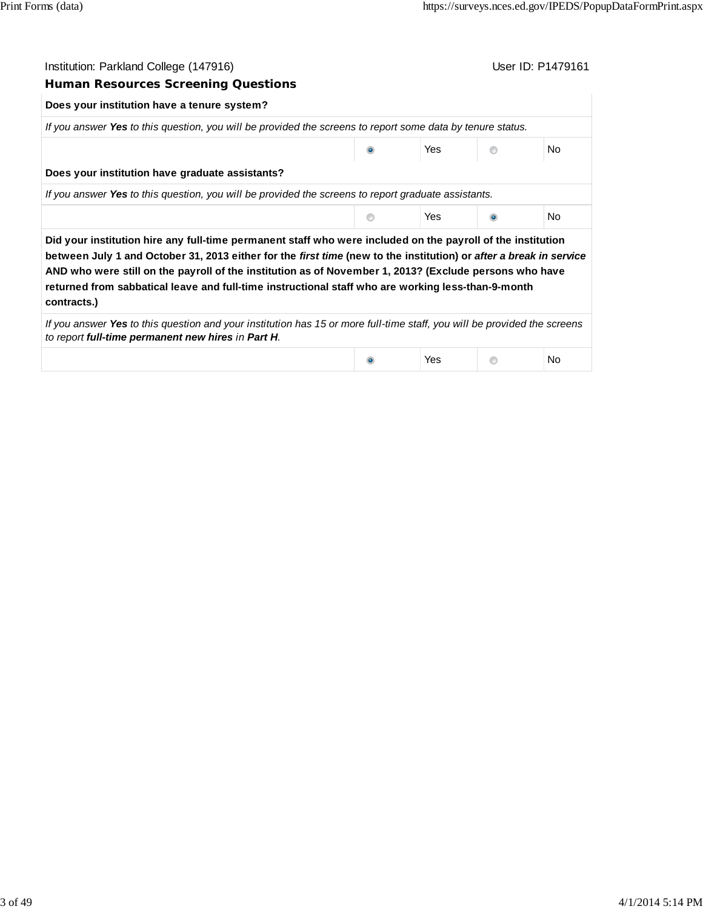| Institution: Parkland College (147916)                                                                                                                                                                                                                                                                                                                                                                                                                           |   |            | User ID: P1479161 |     |
|------------------------------------------------------------------------------------------------------------------------------------------------------------------------------------------------------------------------------------------------------------------------------------------------------------------------------------------------------------------------------------------------------------------------------------------------------------------|---|------------|-------------------|-----|
| <b>Human Resources Screening Questions</b>                                                                                                                                                                                                                                                                                                                                                                                                                       |   |            |                   |     |
| Does your institution have a tenure system?                                                                                                                                                                                                                                                                                                                                                                                                                      |   |            |                   |     |
| If you answer Yes to this question, you will be provided the screens to report some data by tenure status.                                                                                                                                                                                                                                                                                                                                                       |   |            |                   |     |
|                                                                                                                                                                                                                                                                                                                                                                                                                                                                  |   | Yes        |                   | No. |
| Does your institution have graduate assistants?                                                                                                                                                                                                                                                                                                                                                                                                                  |   |            |                   |     |
| If you answer Yes to this question, you will be provided the screens to report graduate assistants.                                                                                                                                                                                                                                                                                                                                                              |   |            |                   |     |
|                                                                                                                                                                                                                                                                                                                                                                                                                                                                  | ⋒ | Yes        |                   | No. |
| Did your institution hire any full-time permanent staff who were included on the payroll of the institution<br>between July 1 and October 31, 2013 either for the first time (new to the institution) or after a break in service<br>AND who were still on the payroll of the institution as of November 1, 2013? (Exclude persons who have<br>returned from sabbatical leave and full-time instructional staff who are working less-than-9-month<br>contracts.) |   |            |                   |     |
| If you answer Yes to this question and your institution has 15 or more full-time staff, you will be provided the screens<br>to report full-time permanent new hires in Part H.                                                                                                                                                                                                                                                                                   |   |            |                   |     |
|                                                                                                                                                                                                                                                                                                                                                                                                                                                                  |   | <b>Yes</b> |                   | No. |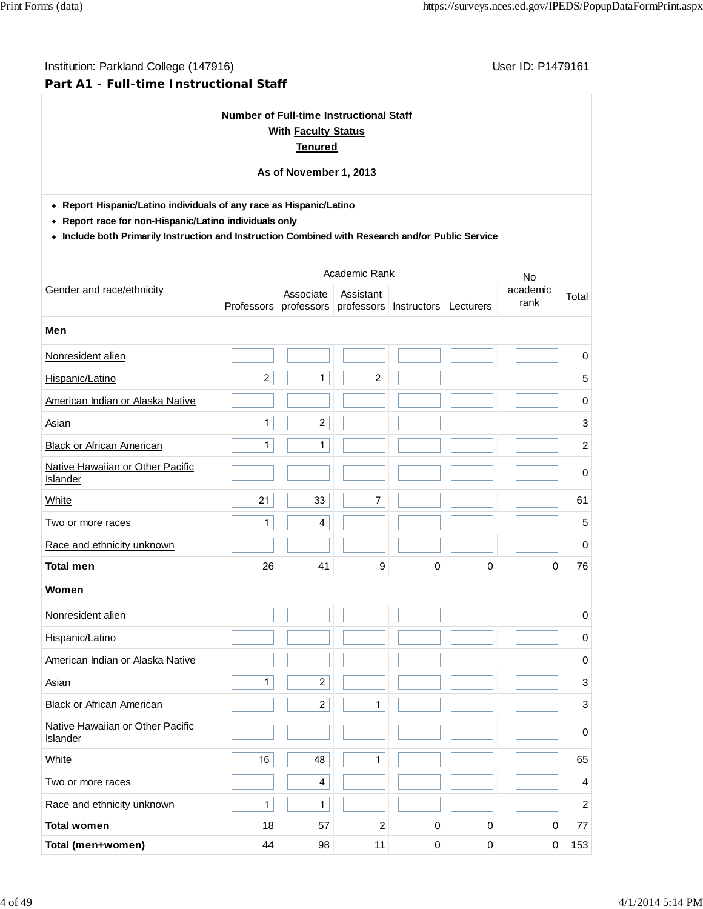# **Part A1 - Full-time Instructional Staff**

# **Number of Full-time Instructional Staff With Faculty Status**

# **Tenured**

# **As of November 1, 2013**

**Report Hispanic/Latino individuals of any race as Hispanic/Latino**

**Report race for non-Hispanic/Latino individuals only**

**Include both Primarily Instruction and Instruction Combined with Research and/or Public Service**

|                                                     |                                       | <b>No</b>               |                         |                    |             |                  |                |
|-----------------------------------------------------|---------------------------------------|-------------------------|-------------------------|--------------------|-------------|------------------|----------------|
| Gender and race/ethnicity                           | Associate<br>professors<br>Professors |                         | Assistant<br>professors | <b>Instructors</b> |             | academic<br>rank | Total          |
| Men                                                 |                                       |                         |                         |                    |             |                  |                |
| Nonresident alien                                   |                                       |                         |                         |                    |             |                  | $\pmb{0}$      |
| Hispanic/Latino                                     | $\overline{c}$                        | $\mathbf{1}$            | $\overline{2}$          |                    |             |                  | 5              |
| American Indian or Alaska Native                    |                                       |                         |                         |                    |             |                  | $\pmb{0}$      |
| Asian                                               | $\mathbf{1}$                          | $\overline{2}$          |                         |                    |             |                  | $\mathbf{3}$   |
| <b>Black or African American</b>                    | $\mathbf{1}$                          | $\mathbf{1}$            |                         |                    |             |                  | $\overline{c}$ |
| Native Hawaiian or Other Pacific<br><b>Islander</b> |                                       |                         |                         |                    |             |                  | $\pmb{0}$      |
| White                                               | 21                                    | 33                      | $\overline{7}$          |                    |             |                  | 61             |
| Two or more races                                   | $\mathbf{1}$                          | $\overline{\mathbf{4}}$ |                         |                    |             |                  | $\overline{5}$ |
| Race and ethnicity unknown                          |                                       |                         |                         |                    |             |                  | 0              |
| <b>Total men</b>                                    | 26                                    | 41                      | 9                       | 0                  | 0           | 0                | 76             |
| Women                                               |                                       |                         |                         |                    |             |                  |                |
| Nonresident alien                                   |                                       |                         |                         |                    |             |                  | 0              |
| Hispanic/Latino                                     |                                       |                         |                         |                    |             |                  | 0              |
| American Indian or Alaska Native                    |                                       |                         |                         |                    |             |                  | $\pmb{0}$      |
| Asian                                               | $\mathbf{1}$                          | $\overline{a}$          |                         |                    |             |                  | $\sqrt{3}$     |
| <b>Black or African American</b>                    |                                       | $\overline{c}$          | 1                       |                    |             |                  | $\sqrt{3}$     |
| Native Hawaiian or Other Pacific<br>Islander        |                                       |                         |                         |                    |             |                  | $\pmb{0}$      |
| White                                               | 16                                    | 48                      | $\mathbf{1}$            |                    |             |                  | 65             |
| Two or more races                                   |                                       | $\overline{\mathbf{4}}$ |                         |                    |             |                  | $\overline{4}$ |
| Race and ethnicity unknown                          | $\mathbf{1}$                          | $\mathbf{1}$            |                         |                    |             |                  | 2              |
| <b>Total women</b>                                  | 18                                    | 57                      | $\overline{2}$          | $\mathbf 0$        | $\mathbf 0$ | $\mathbf 0$      | 77             |
| Total (men+women)                                   | 44                                    | 98                      | 11                      | 0                  | $\mathbf 0$ | 0                | 153            |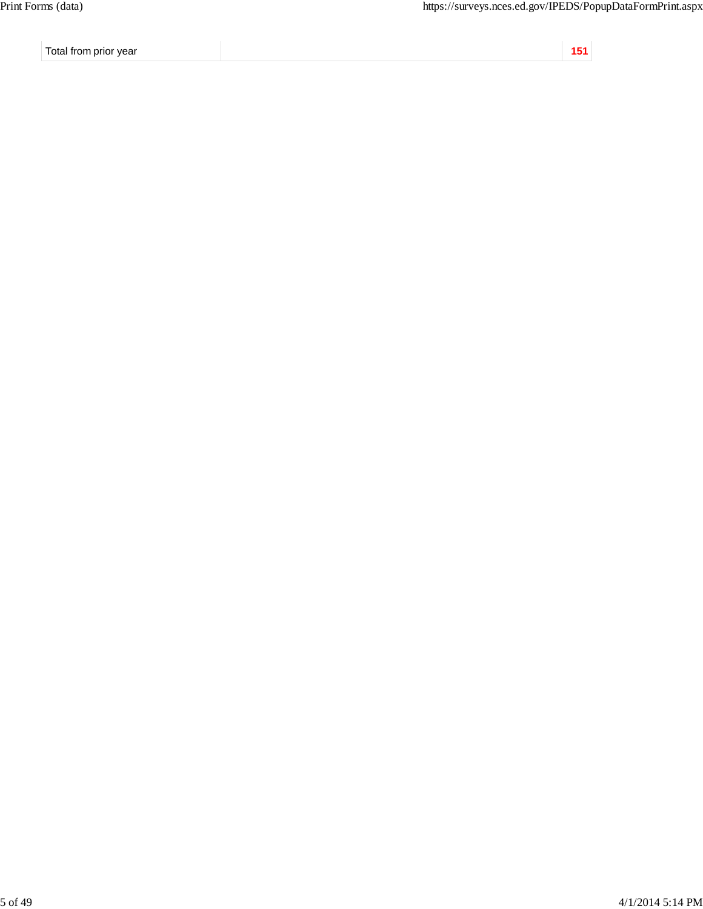Total from prior year **151**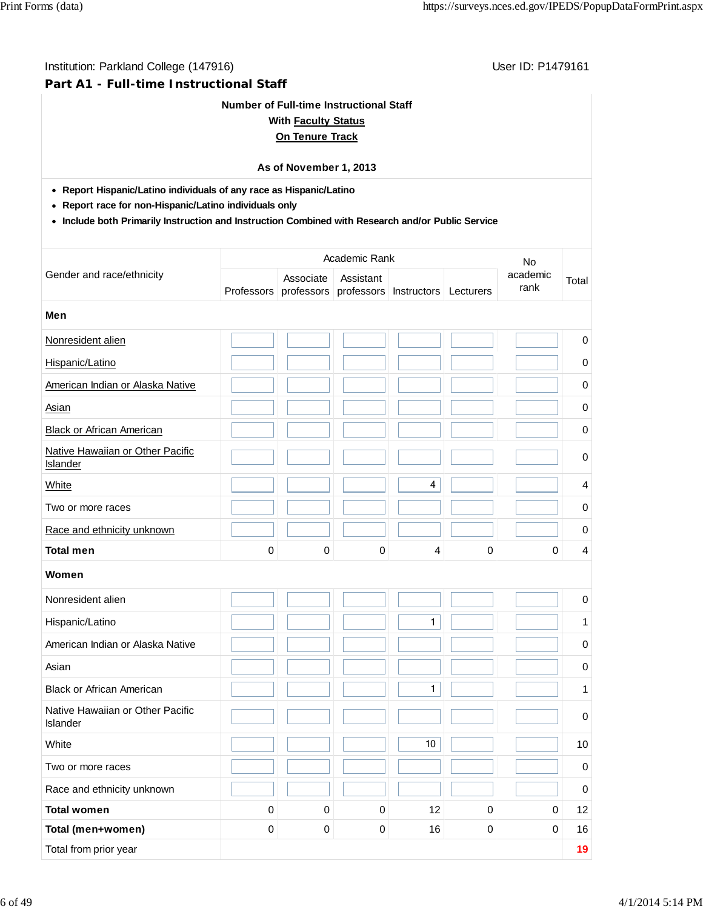#### **Part A1 - Full-time Instructional Staff**

#### **Number of Full-time Instructional Staff**

#### **With Faculty Status**

### **On Tenure Track**

#### **As of November 1, 2013**

**Report Hispanic/Latino individuals of any race as Hispanic/Latino**

- **Report race for non-Hispanic/Latino individuals only**
- **Include both Primarily Instruction and Instruction Combined with Research and/or Public Service**

|                                                     | Academic Rank |                         |                         |                    |           | No               |                |
|-----------------------------------------------------|---------------|-------------------------|-------------------------|--------------------|-----------|------------------|----------------|
| Gender and race/ethnicity                           | Professors    | Associate<br>professors | Assistant<br>professors | <b>Instructors</b> | Lecturers | academic<br>rank | Total          |
| Men                                                 |               |                         |                         |                    |           |                  |                |
| Nonresident alien                                   |               |                         |                         |                    |           |                  | $\pmb{0}$      |
| Hispanic/Latino                                     |               |                         |                         |                    |           |                  | 0              |
| American Indian or Alaska Native                    |               |                         |                         |                    |           |                  | $\mathbf 0$    |
| Asian                                               |               |                         |                         |                    |           |                  | 0              |
| <b>Black or African American</b>                    |               |                         |                         |                    |           |                  | $\pmb{0}$      |
| Native Hawaiian or Other Pacific<br><b>Islander</b> |               |                         |                         |                    |           |                  | $\pmb{0}$      |
| White                                               |               |                         |                         | 4                  |           |                  | $\overline{4}$ |
| Two or more races                                   |               |                         |                         |                    |           |                  | 0              |
| Race and ethnicity unknown                          |               |                         |                         |                    |           |                  | 0              |
| <b>Total men</b>                                    | 0             | 0                       | 0                       | 4                  | 0         | $\mathbf 0$      | $\overline{4}$ |
| Women                                               |               |                         |                         |                    |           |                  |                |
| Nonresident alien                                   |               |                         |                         |                    |           |                  | 0              |
| Hispanic/Latino                                     |               |                         |                         | 1                  |           |                  | 1              |
| American Indian or Alaska Native                    |               |                         |                         |                    |           |                  | $\pmb{0}$      |
| Asian                                               |               |                         |                         |                    |           |                  | 0              |
| <b>Black or African American</b>                    |               |                         |                         | 1                  |           |                  | 1              |
| Native Hawaiian or Other Pacific<br>Islander        |               |                         |                         |                    |           |                  | $\pmb{0}$      |
| White                                               |               |                         |                         | $10$               |           |                  | 10             |
| Two or more races                                   |               |                         |                         |                    |           |                  | $\pmb{0}$      |
| Race and ethnicity unknown                          |               |                         |                         |                    |           |                  | $\mathsf{O}$   |
| <b>Total women</b>                                  | 0             | $\pmb{0}$               | $\mathbf 0$             | 12                 | 0         | $\pmb{0}$        | 12             |
| Total (men+women)                                   | $\mathsf 0$   | $\pmb{0}$               | $\mathbf 0$             | 16                 | $\pmb{0}$ | $\pmb{0}$        | 16             |
| Total from prior year                               |               |                         |                         |                    |           |                  | 19             |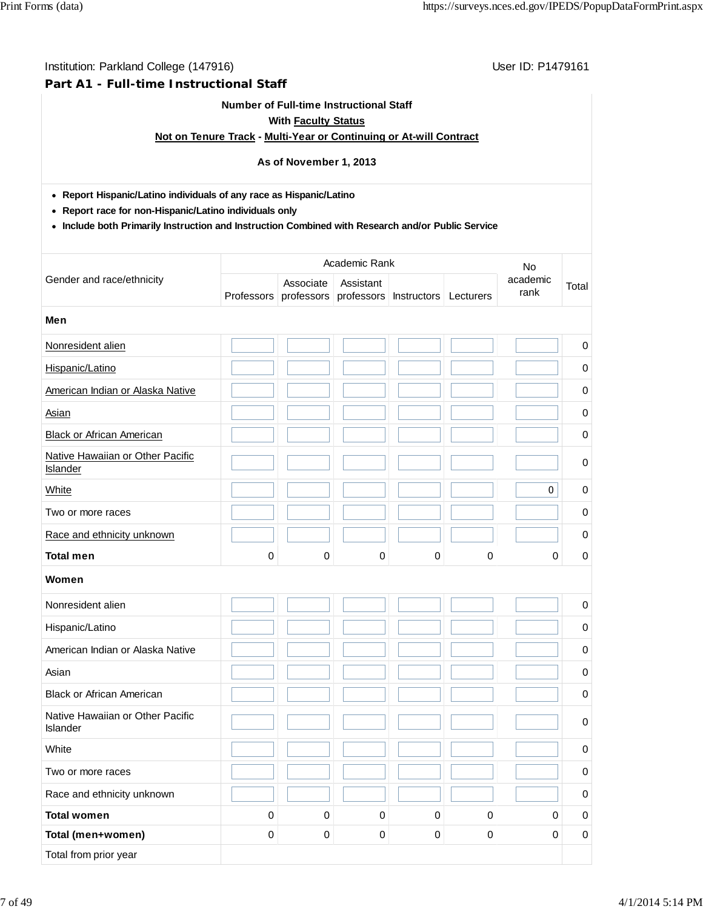#### **Part A1 - Full-time Instructional Staff**

#### **Number of Full-time Instructional Staff**

#### **With Faculty Status**

### **Not on Tenure Track - Multi-Year or Continuing or At-will Contract**

# **As of November 1, 2013**

**Report Hispanic/Latino individuals of any race as Hispanic/Latino**

**Report race for non-Hispanic/Latino individuals only**

**Include both Primarily Instruction and Instruction Combined with Research and/or Public Service**

|                                              |             | Academic Rank           |                         |             |             |                  |             |
|----------------------------------------------|-------------|-------------------------|-------------------------|-------------|-------------|------------------|-------------|
| Gender and race/ethnicity                    | Professors  | Associate<br>professors | Assistant<br>professors | Instructors | Lecturers   | academic<br>rank | Total       |
| Men                                          |             |                         |                         |             |             |                  |             |
| Nonresident alien                            |             |                         |                         |             |             |                  | $\mathbf 0$ |
| Hispanic/Latino                              |             |                         |                         |             |             |                  | $\pmb{0}$   |
| American Indian or Alaska Native             |             |                         |                         |             |             |                  | 0           |
| <b>Asian</b>                                 |             |                         |                         |             |             |                  | 0           |
| <b>Black or African American</b>             |             |                         |                         |             |             |                  | 0           |
| Native Hawaiian or Other Pacific<br>Islander |             |                         |                         |             |             |                  | 0           |
| White                                        |             |                         |                         |             |             | $\mathbf 0$      | $\mathbf 0$ |
| Two or more races                            |             |                         |                         |             |             |                  | 0           |
| Race and ethnicity unknown                   |             |                         |                         |             |             |                  | 0           |
| <b>Total men</b>                             | 0           | 0                       | 0                       | 0           | $\mathbf 0$ | 0                | $\mathbf 0$ |
| Women                                        |             |                         |                         |             |             |                  |             |
| Nonresident alien                            |             |                         |                         |             |             |                  | 0           |
| Hispanic/Latino                              |             |                         |                         |             |             |                  | $\mathbf 0$ |
| American Indian or Alaska Native             |             |                         |                         |             |             |                  | $\mathbf 0$ |
| Asian                                        |             |                         |                         |             |             |                  | $\mathbf 0$ |
| <b>Black or African American</b>             |             |                         |                         |             |             |                  | $\mathbf 0$ |
| Native Hawaiian or Other Pacific<br>Islander |             |                         |                         |             |             |                  | 0           |
| White                                        |             |                         |                         |             |             |                  | 0           |
| Two or more races                            |             |                         |                         |             |             |                  | $\mathbf 0$ |
| Race and ethnicity unknown                   |             |                         |                         |             |             |                  | $\mathsf 0$ |
| <b>Total women</b>                           | $\pmb{0}$   | $\pmb{0}$               | $\pmb{0}$               | $\pmb{0}$   | $\pmb{0}$   | 0                | $\mathsf 0$ |
| Total (men+women)                            | $\mathbf 0$ | $\pmb{0}$               | $\pmb{0}$               | $\pmb{0}$   | $\pmb{0}$   | $\mathbf 0$      | $\pmb{0}$   |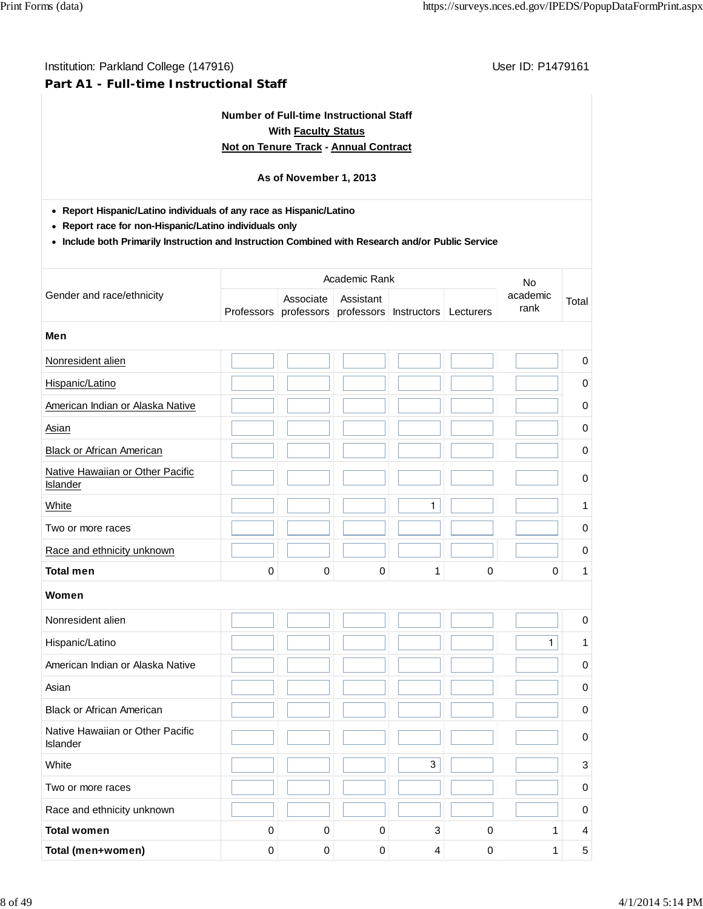## **Part A1 - Full-time Instructional Staff**

# **Number of Full-time Instructional Staff With Faculty Status Not on Tenure Track - Annual Contract**

## **As of November 1, 2013**

**Report Hispanic/Latino individuals of any race as Hispanic/Latino**

**Report race for non-Hispanic/Latino individuals only**

**Include both Primarily Instruction and Instruction Combined with Research and/or Public Service**

|                                                     |             | <b>No</b>               |                         |                    |             |                  |             |
|-----------------------------------------------------|-------------|-------------------------|-------------------------|--------------------|-------------|------------------|-------------|
| Gender and race/ethnicity                           | Professors  | Associate<br>professors | Assistant<br>professors | <b>Instructors</b> | Lecturers   | academic<br>rank | Total       |
| Men                                                 |             |                         |                         |                    |             |                  |             |
| Nonresident alien                                   |             |                         |                         |                    |             |                  | $\pmb{0}$   |
| Hispanic/Latino                                     |             |                         |                         |                    |             |                  | 0           |
| American Indian or Alaska Native                    |             |                         |                         |                    |             |                  | 0           |
| Asian                                               |             |                         |                         |                    |             |                  | 0           |
| <b>Black or African American</b>                    |             |                         |                         |                    |             |                  | 0           |
| Native Hawaiian or Other Pacific<br><b>Islander</b> |             |                         |                         |                    |             |                  | $\mathbf 0$ |
| White                                               |             |                         |                         | 1                  |             |                  | 1           |
| Two or more races                                   |             |                         |                         |                    |             |                  | 0           |
| Race and ethnicity unknown                          |             |                         |                         |                    |             |                  | 0           |
| <b>Total men</b>                                    | 0           | 0                       | 0                       | 1                  | $\mathbf 0$ | 0                | 1           |
| Women                                               |             |                         |                         |                    |             |                  |             |
| Nonresident alien                                   |             |                         |                         |                    |             |                  | $\pmb{0}$   |
| Hispanic/Latino                                     |             |                         |                         |                    |             | $\mathbf{1}$     | 1           |
| American Indian or Alaska Native                    |             |                         |                         |                    |             |                  | 0           |
| Asian                                               |             |                         |                         |                    |             |                  | 0           |
| <b>Black or African American</b>                    |             |                         |                         |                    |             |                  | 0           |
| Native Hawaiian or Other Pacific<br><b>Islander</b> |             |                         |                         |                    |             |                  | $\mathbf 0$ |
| White                                               |             |                         |                         | 3                  |             |                  | 3           |
| Two or more races                                   |             |                         |                         |                    |             |                  | 0           |
| Race and ethnicity unknown                          |             |                         |                         |                    |             |                  | 0           |
| <b>Total women</b>                                  | $\pmb{0}$   | $\mathbf 0$             | $\mathbf 0$             | 3                  | $\mathbf 0$ | $\mathbf{1}$     | 4           |
| Total (men+women)                                   | $\mathbf 0$ | $\mathbf 0$             | 0                       | 4                  | $\mathbf 0$ | 1                | 5           |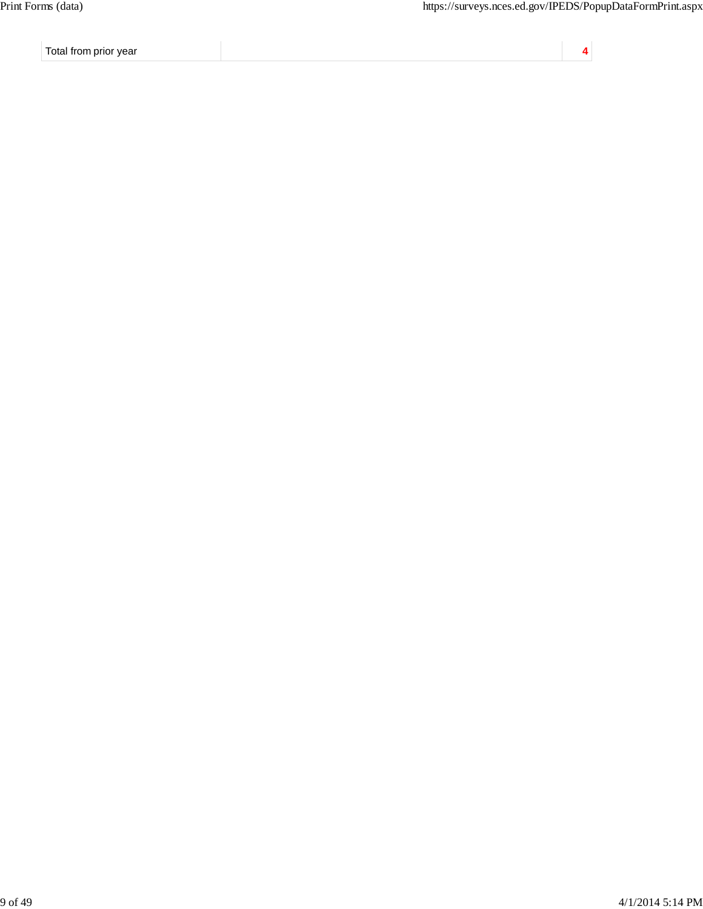Total from prior year **4**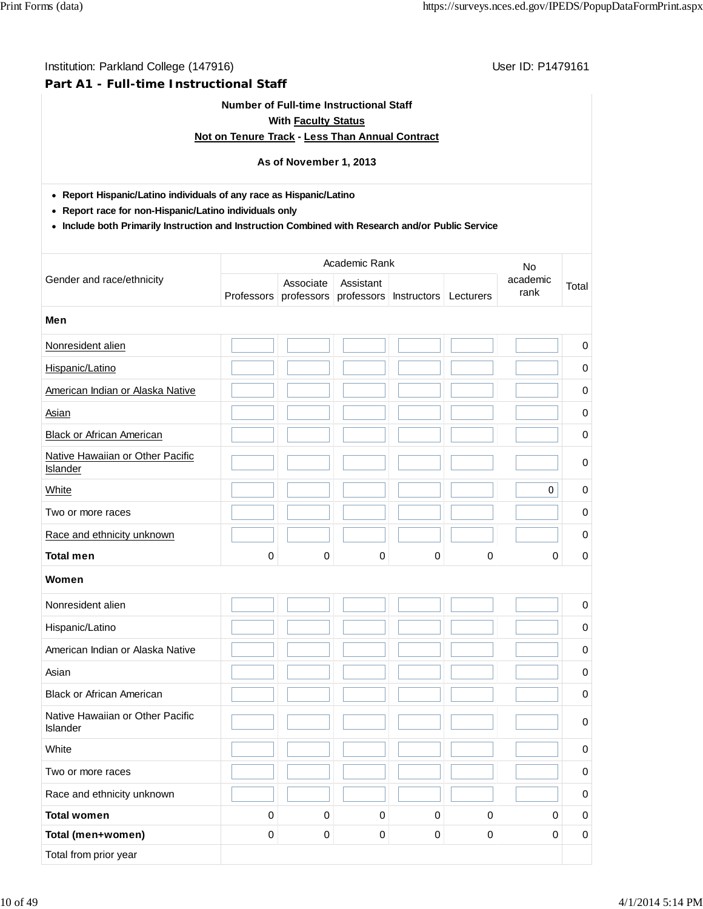#### Institution: Parkland College (147916) Contract College (147916)

#### **Part A1 - Full-time Instructional Staff**

#### **Number of Full-time Instructional Staff**

## **With Faculty Status**

## **Not on Tenure Track - Less Than Annual Contract**

# **As of November 1, 2013**

**Report Hispanic/Latino individuals of any race as Hispanic/Latino**

**Report race for non-Hispanic/Latino individuals only**

**Include both Primarily Instruction and Instruction Combined with Research and/or Public Service**

|                  | <b>No</b>               |             |           |                             |                  |             |
|------------------|-------------------------|-------------|-----------|-----------------------------|------------------|-------------|
|                  | Associate<br>professors | Assistant   |           | Lecturers                   | academic<br>rank | Total       |
|                  |                         |             |           |                             |                  |             |
|                  |                         |             |           |                             |                  | $\mathbf 0$ |
|                  |                         |             |           |                             |                  | $\pmb{0}$   |
|                  |                         |             |           |                             |                  | 0           |
|                  |                         |             |           |                             |                  | 0           |
|                  |                         |             |           |                             |                  | $\mathbf 0$ |
|                  |                         |             |           |                             |                  | $\mathbf 0$ |
|                  |                         |             |           |                             | $\mathbf 0$      | $\mathbf 0$ |
|                  |                         |             |           |                             |                  | $\mathbf 0$ |
|                  |                         |             |           |                             |                  | $\mathbf 0$ |
| 0                | 0                       | 0           | 0         | 0                           | 0                | 0           |
|                  |                         |             |           |                             |                  |             |
|                  |                         |             |           |                             |                  | 0           |
|                  |                         |             |           |                             |                  | $\mathbf 0$ |
|                  |                         |             |           |                             |                  | 0           |
|                  |                         |             |           |                             |                  | 0           |
|                  |                         |             |           |                             |                  | 0           |
|                  |                         |             |           |                             |                  | 0           |
|                  |                         |             |           |                             |                  | 0           |
|                  |                         |             |           |                             |                  | $\pmb{0}$   |
|                  |                         |             |           |                             |                  | $\mathsf 0$ |
| $\mathsf 0$      | $\mathbf 0$             | $\mathbf 0$ | 0         | 0                           | 0                | $\mathsf 0$ |
| $\boldsymbol{0}$ | $\pmb{0}$               | $\pmb{0}$   | $\pmb{0}$ | $\mathsf 0$                 | $\mathbf 0$      | $\pmb{0}$   |
|                  | Professors              |             |           | Academic Rank<br>professors | Instructors      |             |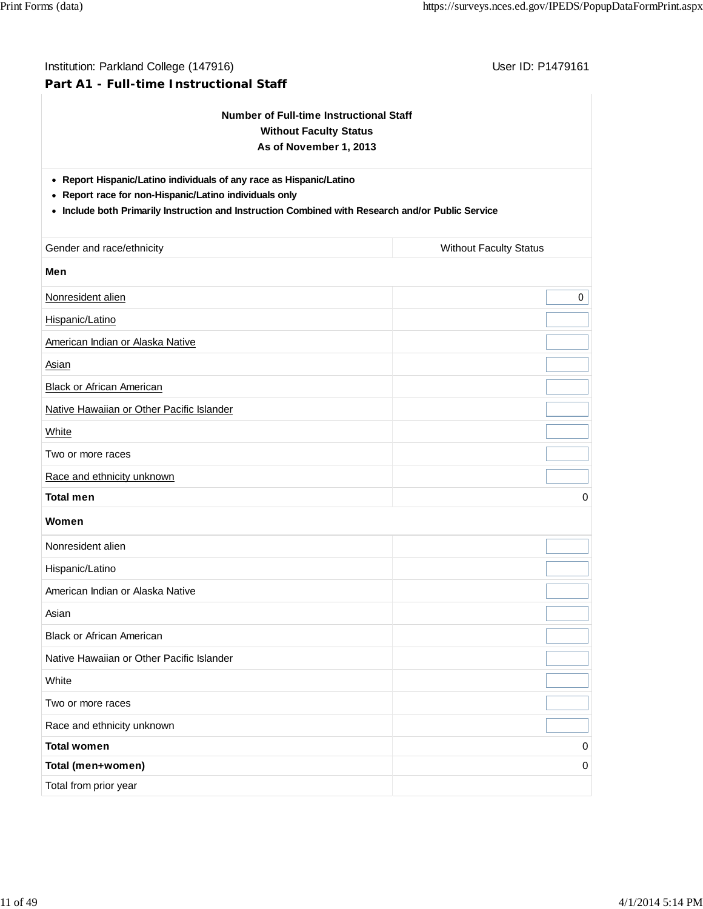| Institution: Parkland College (147916)<br>Part A1 - Full-time Instructional Staff                                                                                                                                                  | User ID: P1479161             |  |  |  |  |  |  |  |
|------------------------------------------------------------------------------------------------------------------------------------------------------------------------------------------------------------------------------------|-------------------------------|--|--|--|--|--|--|--|
| <b>Number of Full-time Instructional Staff</b><br><b>Without Faculty Status</b><br>As of November 1, 2013                                                                                                                          |                               |  |  |  |  |  |  |  |
| • Report Hispanic/Latino individuals of any race as Hispanic/Latino<br>• Report race for non-Hispanic/Latino individuals only<br>• Include both Primarily Instruction and Instruction Combined with Research and/or Public Service |                               |  |  |  |  |  |  |  |
| Gender and race/ethnicity                                                                                                                                                                                                          | <b>Without Faculty Status</b> |  |  |  |  |  |  |  |
| Men                                                                                                                                                                                                                                |                               |  |  |  |  |  |  |  |
| Nonresident alien                                                                                                                                                                                                                  | 0                             |  |  |  |  |  |  |  |
| Hispanic/Latino                                                                                                                                                                                                                    |                               |  |  |  |  |  |  |  |
| American Indian or Alaska Native                                                                                                                                                                                                   |                               |  |  |  |  |  |  |  |
| Asian                                                                                                                                                                                                                              |                               |  |  |  |  |  |  |  |
| Black or African American                                                                                                                                                                                                          |                               |  |  |  |  |  |  |  |
| Native Hawaiian or Other Pacific Islander                                                                                                                                                                                          |                               |  |  |  |  |  |  |  |
| White                                                                                                                                                                                                                              |                               |  |  |  |  |  |  |  |
| Two or more races                                                                                                                                                                                                                  |                               |  |  |  |  |  |  |  |
| Race and ethnicity unknown                                                                                                                                                                                                         |                               |  |  |  |  |  |  |  |
| <b>Total men</b>                                                                                                                                                                                                                   | 0                             |  |  |  |  |  |  |  |
| Women                                                                                                                                                                                                                              |                               |  |  |  |  |  |  |  |
| Nonresident alien                                                                                                                                                                                                                  |                               |  |  |  |  |  |  |  |
| Hispanic/Latino                                                                                                                                                                                                                    |                               |  |  |  |  |  |  |  |
| American Indian or Alaska Native                                                                                                                                                                                                   |                               |  |  |  |  |  |  |  |
| Asian                                                                                                                                                                                                                              |                               |  |  |  |  |  |  |  |
| <b>Black or African American</b>                                                                                                                                                                                                   |                               |  |  |  |  |  |  |  |
| Native Hawaiian or Other Pacific Islander                                                                                                                                                                                          |                               |  |  |  |  |  |  |  |
| White                                                                                                                                                                                                                              |                               |  |  |  |  |  |  |  |
| Two or more races                                                                                                                                                                                                                  |                               |  |  |  |  |  |  |  |
| Race and ethnicity unknown                                                                                                                                                                                                         |                               |  |  |  |  |  |  |  |
| <b>Total women</b>                                                                                                                                                                                                                 | 0                             |  |  |  |  |  |  |  |

**Total (men+women)** 0

Total from prior year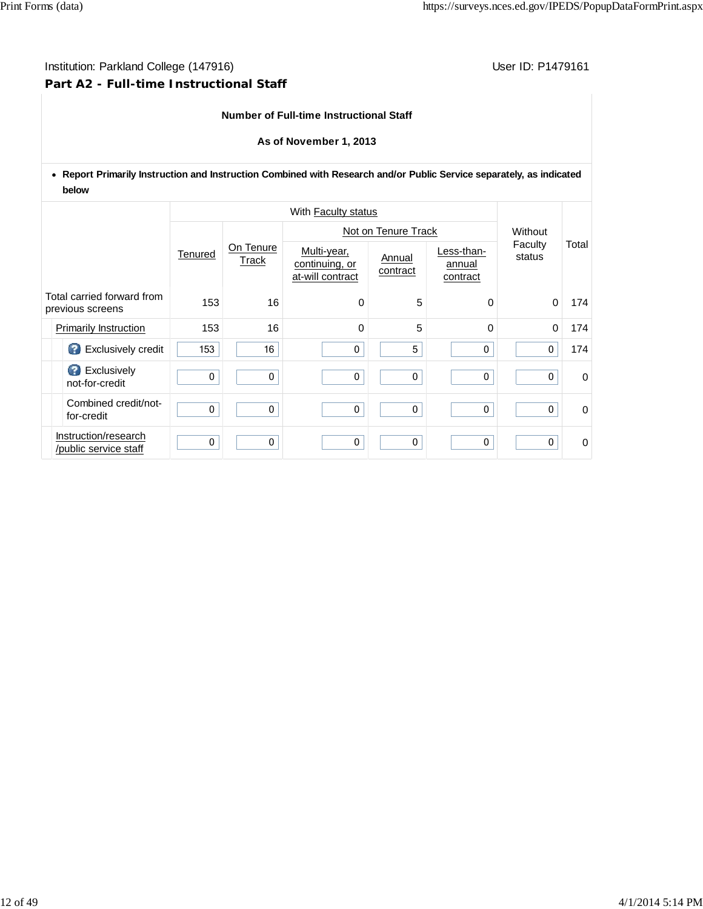# Institution: Parkland College (147916) **Institution: Parkland College (147916**) **Part A2 - Full-time Instructional Staff**

#### **Number of Full-time Instructional Staff**

#### **As of November 1, 2013**

**Report Primarily Instruction and Instruction Combined with Research and/or Public Service separately, as indicated below**

|                                                |                                               |         |                    | Not on Tenure Track                               | Without            |                                  |                   |             |
|------------------------------------------------|-----------------------------------------------|---------|--------------------|---------------------------------------------------|--------------------|----------------------------------|-------------------|-------------|
|                                                |                                               | Tenured | On Tenure<br>Track | Multi-year,<br>continuing, or<br>at-will contract | Annual<br>contract | Less-than-<br>annual<br>contract | Faculty<br>status | Total       |
| Total carried forward from<br>previous screens |                                               | 153     | 16                 | $\Omega$                                          | 5                  | 0                                | 0                 | 174         |
|                                                | <b>Primarily Instruction</b>                  | 153     | 16                 | $\Omega$                                          | 5                  | $\Omega$                         | $\Omega$          | 174         |
|                                                | Exclusively credit                            | 153     | 16                 | 0                                                 | 5                  | 0                                | 0                 | 174         |
|                                                | <b>B</b> Exclusively<br>not-for-credit        | 0       | 0                  | 0                                                 | 0                  | $\mathbf 0$                      | 0                 | $\Omega$    |
|                                                | Combined credit/not-<br>for-credit            | 0       | $\mathbf 0$        | 0                                                 | 0                  | 0                                | 0                 | 0           |
|                                                | Instruction/research<br>/public service staff | 0       | 0                  | $\mathbf{0}$                                      | $\mathbf{0}$       | $\Omega$                         | 0                 | $\mathbf 0$ |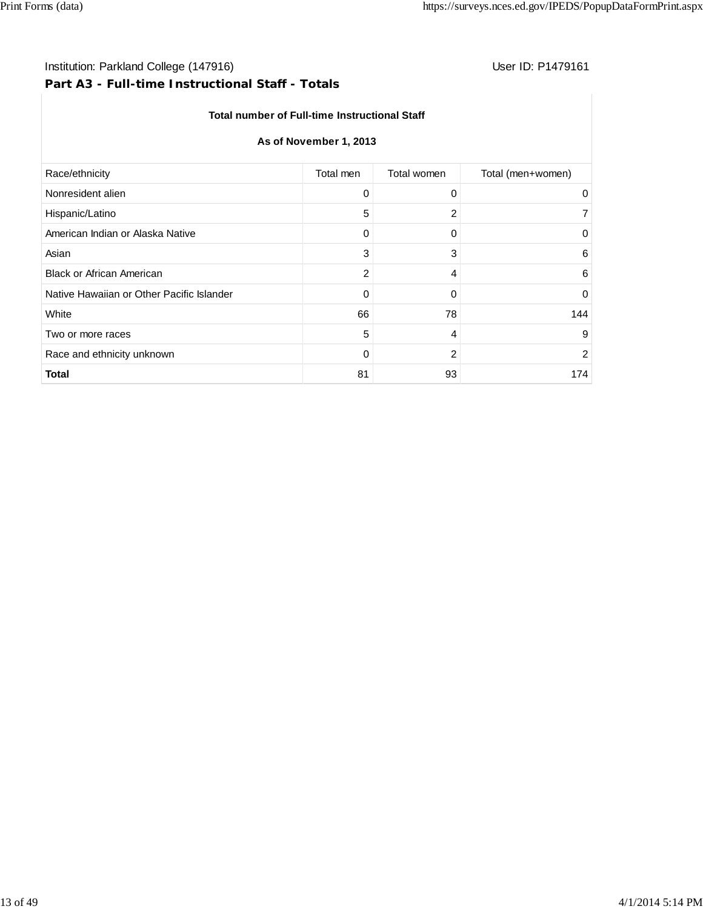# **Part A3 - Full-time Instructional Staff - Totals**

## **Total number of Full-time Instructional Staff**

## **As of November 1, 2013**

| Race/ethnicity<br>Total men<br>Total women<br>Nonresident alien<br>0<br>0<br>5<br>Hispanic/Latino<br>2<br>American Indian or Alaska Native<br>0<br>0 |                   |
|------------------------------------------------------------------------------------------------------------------------------------------------------|-------------------|
|                                                                                                                                                      | Total (men+women) |
|                                                                                                                                                      | $\Omega$          |
|                                                                                                                                                      |                   |
|                                                                                                                                                      | 0                 |
| 3<br>Asian<br>3                                                                                                                                      | 6                 |
| 2<br><b>Black or African American</b><br>4                                                                                                           | 6                 |
| Native Hawaiian or Other Pacific Islander<br>0<br>0                                                                                                  | 0                 |
| 66<br>78<br>White                                                                                                                                    | 144               |
| 5<br>4<br>Two or more races                                                                                                                          | 9                 |
| 2<br>Race and ethnicity unknown<br>0                                                                                                                 | 2                 |
| <b>Total</b><br>81<br>93                                                                                                                             | 174               |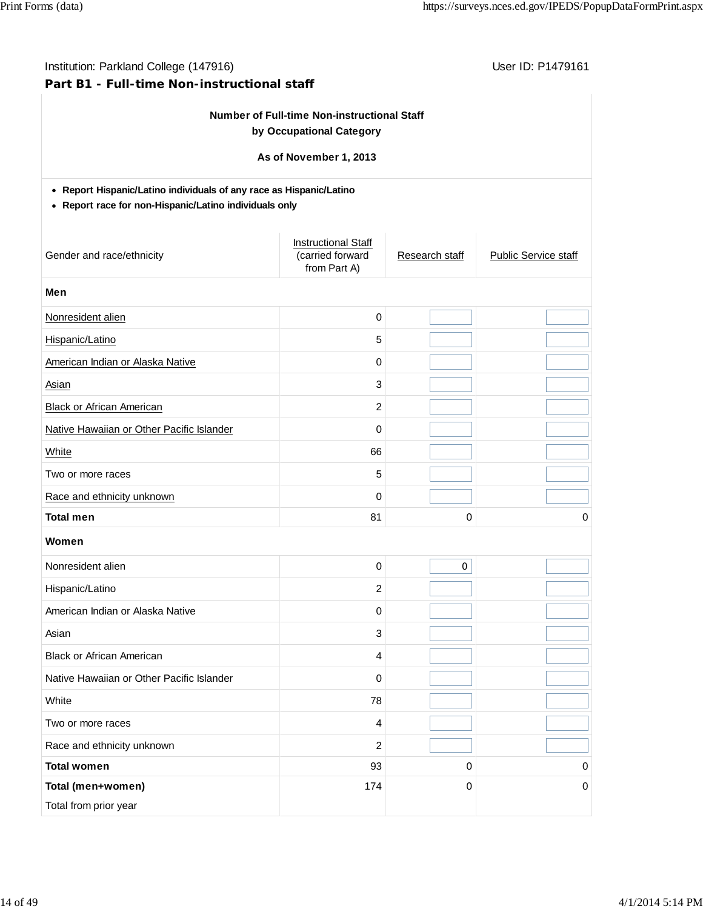## **Part B1 - Full-time Non-instructional staff**

# **Number of Full-time Non-instructional Staff by Occupational Category**

## **As of November 1, 2013**

## **Report Hispanic/Latino individuals of any race as Hispanic/Latino**

#### **Report race for non-Hispanic/Latino individuals only**

| Gender and race/ethnicity                 | <b>Instructional Staff</b><br>(carried forward<br>from Part A) | Research staff | Public Service staff |
|-------------------------------------------|----------------------------------------------------------------|----------------|----------------------|
| Men                                       |                                                                |                |                      |
| Nonresident alien                         | $\mathsf 0$                                                    |                |                      |
| Hispanic/Latino                           | 5                                                              |                |                      |
| American Indian or Alaska Native          | 0                                                              |                |                      |
| Asian                                     | 3                                                              |                |                      |
| <b>Black or African American</b>          | $\overline{c}$                                                 |                |                      |
| Native Hawaiian or Other Pacific Islander | $\mathbf{0}$                                                   |                |                      |
| White                                     | 66                                                             |                |                      |
| Two or more races                         | 5                                                              |                |                      |
| Race and ethnicity unknown                | $\mathbf 0$                                                    |                |                      |
| <b>Total men</b>                          | 81                                                             | 0              | 0                    |
| Women                                     |                                                                |                |                      |
| Nonresident alien                         | 0                                                              | $\mathbf 0$    |                      |
| Hispanic/Latino                           | $\overline{c}$                                                 |                |                      |
| American Indian or Alaska Native          | 0                                                              |                |                      |
| Asian                                     | 3                                                              |                |                      |
| <b>Black or African American</b>          | 4                                                              |                |                      |
| Native Hawaiian or Other Pacific Islander | 0                                                              |                |                      |
| White                                     | 78                                                             |                |                      |
| Two or more races                         | $\overline{\mathbf{A}}$                                        |                |                      |
| Race and ethnicity unknown                | $\overline{c}$                                                 |                |                      |
| <b>Total women</b>                        | 93                                                             | 0              | 0                    |
| Total (men+women)                         | 174                                                            | 0              | $\mathbf 0$          |
| Total from prior year                     |                                                                |                |                      |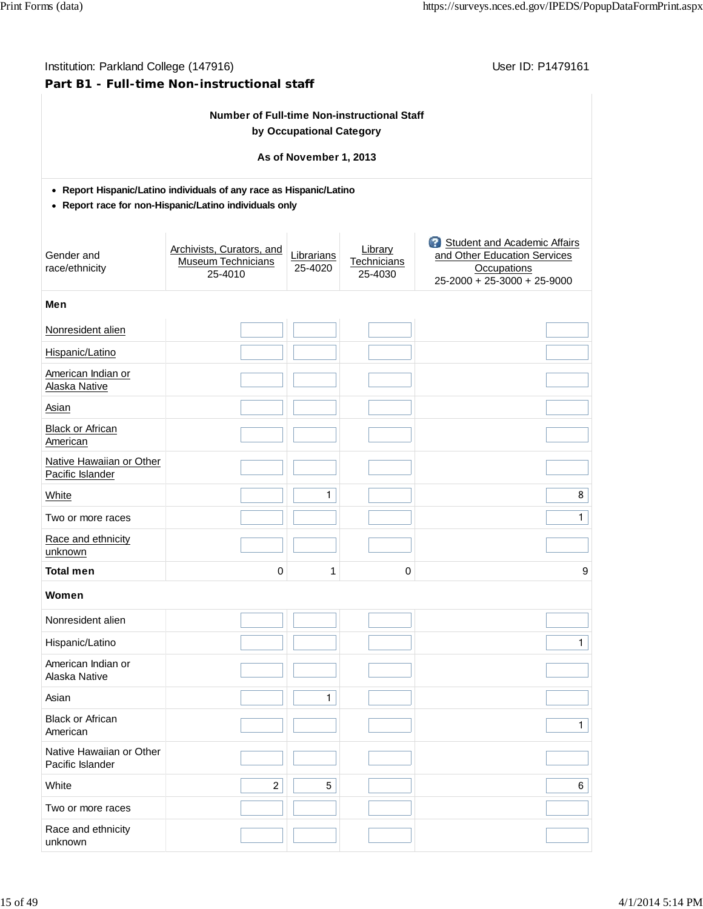| Institution: Parkland College (147916)<br>Part B1 - Full-time Non-instructional staff                                         | User ID: P1479161                                                 |                          |                                   |                                                                                                                       |  |  |  |  |  |  |  |  |
|-------------------------------------------------------------------------------------------------------------------------------|-------------------------------------------------------------------|--------------------------|-----------------------------------|-----------------------------------------------------------------------------------------------------------------------|--|--|--|--|--|--|--|--|
|                                                                                                                               | <b>Number of Full-time Non-instructional Staff</b>                | by Occupational Category |                                   |                                                                                                                       |  |  |  |  |  |  |  |  |
|                                                                                                                               |                                                                   | As of November 1, 2013   |                                   |                                                                                                                       |  |  |  |  |  |  |  |  |
|                                                                                                                               |                                                                   |                          |                                   |                                                                                                                       |  |  |  |  |  |  |  |  |
| • Report Hispanic/Latino individuals of any race as Hispanic/Latino<br>• Report race for non-Hispanic/Latino individuals only |                                                                   |                          |                                   |                                                                                                                       |  |  |  |  |  |  |  |  |
| Gender and<br>race/ethnicity                                                                                                  | Archivists, Curators, and<br><b>Museum Technicians</b><br>25-4010 | Librarians<br>25-4020    | Library<br>Technicians<br>25-4030 | <b>3</b> Student and Academic Affairs<br>and Other Education Services<br>Occupations<br>$25-2000 + 25-3000 + 25-9000$ |  |  |  |  |  |  |  |  |
| Men                                                                                                                           |                                                                   |                          |                                   |                                                                                                                       |  |  |  |  |  |  |  |  |
| Nonresident alien                                                                                                             |                                                                   |                          |                                   |                                                                                                                       |  |  |  |  |  |  |  |  |
| Hispanic/Latino                                                                                                               |                                                                   |                          |                                   |                                                                                                                       |  |  |  |  |  |  |  |  |
| American Indian or<br>Alaska Native                                                                                           |                                                                   |                          |                                   |                                                                                                                       |  |  |  |  |  |  |  |  |
| Asian                                                                                                                         |                                                                   |                          |                                   |                                                                                                                       |  |  |  |  |  |  |  |  |
| <b>Black or African</b><br>American                                                                                           |                                                                   |                          |                                   |                                                                                                                       |  |  |  |  |  |  |  |  |
| Native Hawaiian or Other<br>Pacific Islander                                                                                  |                                                                   |                          |                                   |                                                                                                                       |  |  |  |  |  |  |  |  |
| White                                                                                                                         |                                                                   | $\mathbf{1}$             |                                   | 8                                                                                                                     |  |  |  |  |  |  |  |  |
| Two or more races                                                                                                             |                                                                   |                          |                                   | $\mathbf{1}$                                                                                                          |  |  |  |  |  |  |  |  |
| Race and ethnicity<br>unknown                                                                                                 |                                                                   |                          |                                   |                                                                                                                       |  |  |  |  |  |  |  |  |
| Total men                                                                                                                     | $\Omega$                                                          | 1                        | 0                                 | 9                                                                                                                     |  |  |  |  |  |  |  |  |
| Women                                                                                                                         |                                                                   |                          |                                   |                                                                                                                       |  |  |  |  |  |  |  |  |
| Nonresident alien                                                                                                             |                                                                   |                          |                                   |                                                                                                                       |  |  |  |  |  |  |  |  |
| Hispanic/Latino                                                                                                               |                                                                   |                          |                                   | $\mathbf{1}$                                                                                                          |  |  |  |  |  |  |  |  |
| American Indian or<br>Alaska Native                                                                                           |                                                                   |                          |                                   |                                                                                                                       |  |  |  |  |  |  |  |  |
| Asian                                                                                                                         |                                                                   | 1                        |                                   |                                                                                                                       |  |  |  |  |  |  |  |  |
| <b>Black or African</b><br>American                                                                                           |                                                                   |                          |                                   | $\mathbf{1}$                                                                                                          |  |  |  |  |  |  |  |  |
| Native Hawaiian or Other<br>Pacific Islander                                                                                  |                                                                   |                          |                                   |                                                                                                                       |  |  |  |  |  |  |  |  |
| White                                                                                                                         | $\overline{c}$                                                    | 5                        |                                   | 6                                                                                                                     |  |  |  |  |  |  |  |  |
| Two or more races                                                                                                             |                                                                   |                          |                                   |                                                                                                                       |  |  |  |  |  |  |  |  |
| Race and ethnicity<br>unknown                                                                                                 |                                                                   |                          |                                   |                                                                                                                       |  |  |  |  |  |  |  |  |

unknown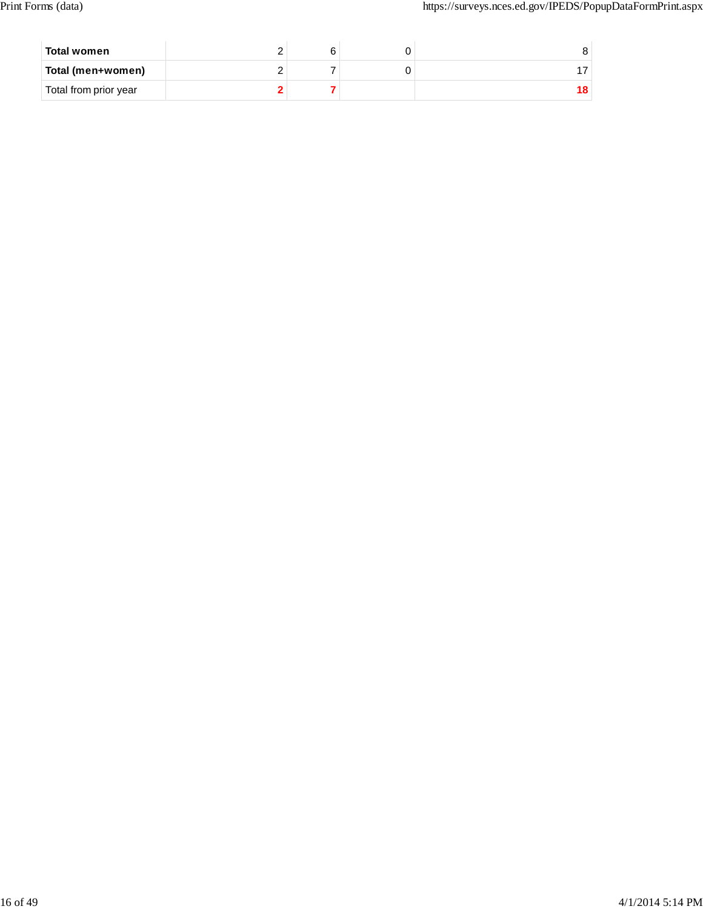| Total women           |  |  |
|-----------------------|--|--|
| Total (men+women)     |  |  |
| Total from prior year |  |  |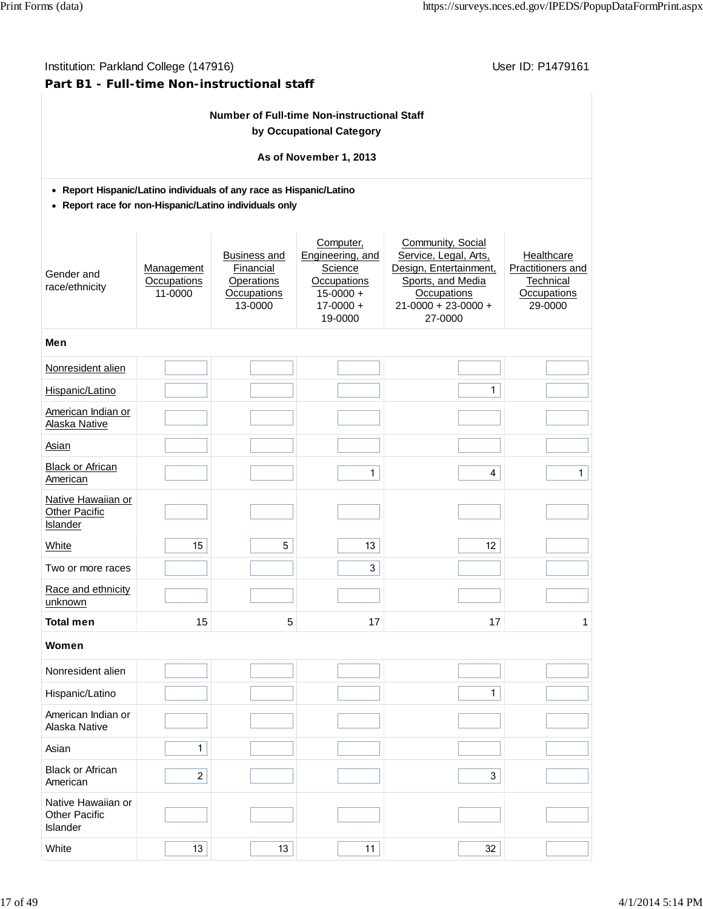# **Part B1 - Full-time Non-instructional staff**

# **Number of Full-time Non-instructional Staff by Occupational Category**

## **As of November 1, 2013**

## **Report Hispanic/Latino individuals of any race as Hispanic/Latino**

**Report race for non-Hispanic/Latino individuals only**

| Gender and<br>race/ethnicity                           | Management<br>Occupations<br>11-0000 | <b>Business and</b><br>Financial<br>Operations<br>Occupations<br>13-0000 | Computer,<br>Engineering, and<br>Science<br><b>Occupations</b><br>$15 - 0000 +$<br>$17 - 0000 +$<br>19-0000 | Community, Social<br>Service, Legal, Arts,<br>Design, Entertainment,<br>Sports, and Media<br>Occupations<br>$21 - 0000 + 23 - 0000 +$<br>27-0000 | Healthcare<br>Practitioners and<br>Technical<br>Occupations<br>29-0000 |
|--------------------------------------------------------|--------------------------------------|--------------------------------------------------------------------------|-------------------------------------------------------------------------------------------------------------|--------------------------------------------------------------------------------------------------------------------------------------------------|------------------------------------------------------------------------|
| Men                                                    |                                      |                                                                          |                                                                                                             |                                                                                                                                                  |                                                                        |
| Nonresident alien                                      |                                      |                                                                          |                                                                                                             |                                                                                                                                                  |                                                                        |
| Hispanic/Latino                                        |                                      |                                                                          |                                                                                                             | 1                                                                                                                                                |                                                                        |
| American Indian or<br>Alaska Native                    |                                      |                                                                          |                                                                                                             |                                                                                                                                                  |                                                                        |
| Asian                                                  |                                      |                                                                          |                                                                                                             |                                                                                                                                                  |                                                                        |
| <b>Black or African</b><br>American                    |                                      |                                                                          | $\mathbf{1}$                                                                                                | $\overline{4}$                                                                                                                                   | $\mathbf{1}$                                                           |
| Native Hawaiian or<br><b>Other Pacific</b><br>Islander |                                      |                                                                          |                                                                                                             |                                                                                                                                                  |                                                                        |
| <b>White</b>                                           | 15                                   | 5                                                                        | 13                                                                                                          | 12                                                                                                                                               |                                                                        |
| Two or more races                                      |                                      |                                                                          | 3                                                                                                           |                                                                                                                                                  |                                                                        |
| Race and ethnicity<br>unknown                          |                                      |                                                                          |                                                                                                             |                                                                                                                                                  |                                                                        |
| <b>Total men</b>                                       | 15                                   | 5                                                                        | 17                                                                                                          | 17                                                                                                                                               | 1                                                                      |
| Women                                                  |                                      |                                                                          |                                                                                                             |                                                                                                                                                  |                                                                        |
| Nonresident alien                                      |                                      |                                                                          |                                                                                                             |                                                                                                                                                  |                                                                        |
| Hispanic/Latino                                        |                                      |                                                                          |                                                                                                             | 1                                                                                                                                                |                                                                        |
| American Indian or<br>Alaska Native                    |                                      |                                                                          |                                                                                                             |                                                                                                                                                  |                                                                        |
| Asian                                                  | $\mathbf{1}$                         |                                                                          |                                                                                                             |                                                                                                                                                  |                                                                        |
| <b>Black or African</b><br>American                    | $\overline{2}$                       |                                                                          |                                                                                                             | 3                                                                                                                                                |                                                                        |
| Native Hawaiian or<br><b>Other Pacific</b><br>Islander |                                      |                                                                          |                                                                                                             |                                                                                                                                                  |                                                                        |
| White                                                  | 13                                   | 13                                                                       | 11                                                                                                          | 32                                                                                                                                               |                                                                        |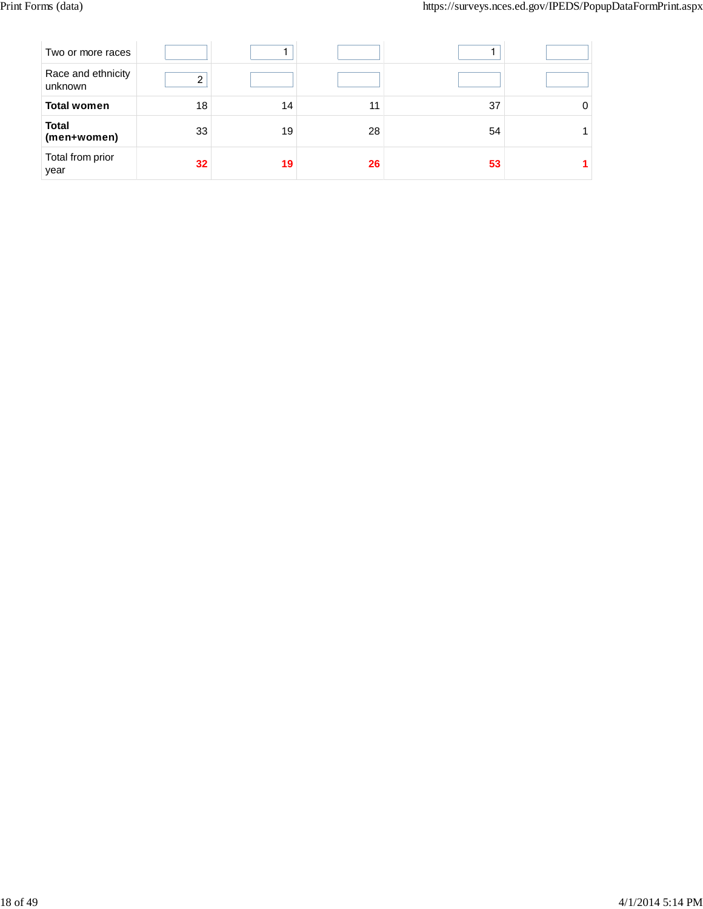| Two or more races             |                 |    |    |    |  |
|-------------------------------|-----------------|----|----|----|--|
| Race and ethnicity<br>unknown | ◠               |    |    |    |  |
| <b>Total women</b>            | 18              | 14 | 11 | 37 |  |
| <b>Total</b><br>(men+women)   | 33              | 19 | 28 | 54 |  |
| Total from prior<br>year      | 32 <sub>2</sub> | 19 | 26 | 53 |  |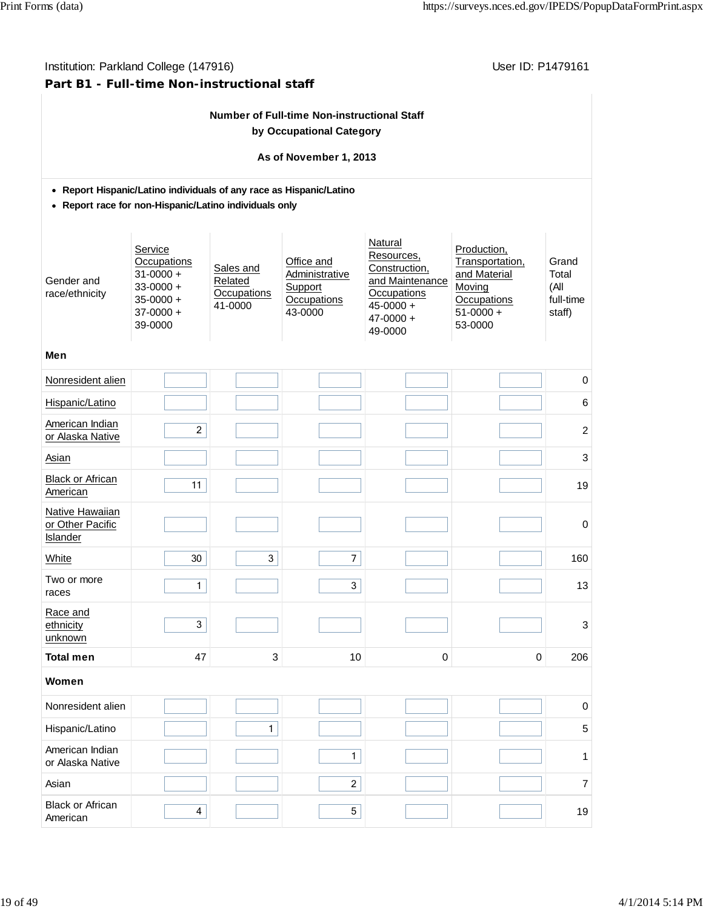# Institution: Parkland College (147916) Contract College (147916)

# **Part B1 - Full-time Non-instructional staff**

| <b>Number of Full-time Non-instructional Staff</b> |  |
|----------------------------------------------------|--|
| by Occupational Category                           |  |

## **As of November 1, 2013**

## **Report Hispanic/Latino individuals of any race as Hispanic/Latino**

**Report race for non-Hispanic/Latino individuals only**

| Gender and<br>race/ethnicity                    | Service<br>Occupations<br>$31 - 0000 +$<br>$33 - 0000 +$<br>$35 - 0000 +$<br>$37-0000 +$<br>39-0000 | Sales and<br>Related<br>Occupations<br>41-0000 | Office and<br>Administrative<br>Support<br><b>Occupations</b><br>43-0000 | Natural<br>Resources,<br>Construction,<br>and Maintenance<br>Occupations<br>$45 - 0000 +$<br>$47 - 0000 +$<br>49-0000 | Production,<br>Transportation,<br>and Material<br>Moving<br>Occupations<br>$51-0000 +$<br>53-0000 | Grand<br>Total<br>(All<br>full-time<br>staff) |  |  |  |  |  |  |  |
|-------------------------------------------------|-----------------------------------------------------------------------------------------------------|------------------------------------------------|--------------------------------------------------------------------------|-----------------------------------------------------------------------------------------------------------------------|---------------------------------------------------------------------------------------------------|-----------------------------------------------|--|--|--|--|--|--|--|
| Men                                             |                                                                                                     |                                                |                                                                          |                                                                                                                       |                                                                                                   |                                               |  |  |  |  |  |  |  |
| Nonresident alien                               |                                                                                                     |                                                |                                                                          |                                                                                                                       |                                                                                                   | $\pmb{0}$                                     |  |  |  |  |  |  |  |
| Hispanic/Latino                                 |                                                                                                     |                                                |                                                                          |                                                                                                                       |                                                                                                   | $\,6$                                         |  |  |  |  |  |  |  |
| American Indian<br>or Alaska Native             | $\overline{c}$                                                                                      |                                                |                                                                          |                                                                                                                       |                                                                                                   | $\overline{2}$                                |  |  |  |  |  |  |  |
| <b>Asian</b>                                    |                                                                                                     |                                                |                                                                          |                                                                                                                       |                                                                                                   | $\mathbf{3}$                                  |  |  |  |  |  |  |  |
| Black or African<br>American                    | 11                                                                                                  |                                                |                                                                          |                                                                                                                       |                                                                                                   | 19                                            |  |  |  |  |  |  |  |
| Native Hawaiian<br>or Other Pacific<br>Islander |                                                                                                     |                                                |                                                                          |                                                                                                                       |                                                                                                   | $\mathbf 0$                                   |  |  |  |  |  |  |  |
| White                                           | 30                                                                                                  | $\mathbf{3}$                                   | $\overline{7}$                                                           |                                                                                                                       |                                                                                                   | 160                                           |  |  |  |  |  |  |  |
| Two or more<br>races                            | $\mathbf{1}$                                                                                        |                                                | $\mathbf{3}$                                                             |                                                                                                                       |                                                                                                   | 13                                            |  |  |  |  |  |  |  |
| Race and<br>ethnicity<br>unknown                | 3                                                                                                   |                                                |                                                                          |                                                                                                                       |                                                                                                   | $\sqrt{3}$                                    |  |  |  |  |  |  |  |
| <b>Total men</b>                                | 47                                                                                                  | 3                                              | 10                                                                       | 0                                                                                                                     | 0                                                                                                 | 206                                           |  |  |  |  |  |  |  |
| Women                                           |                                                                                                     |                                                |                                                                          |                                                                                                                       |                                                                                                   |                                               |  |  |  |  |  |  |  |
| Nonresident alien                               |                                                                                                     |                                                |                                                                          |                                                                                                                       |                                                                                                   | $\mathbf 0$                                   |  |  |  |  |  |  |  |
| Hispanic/Latino                                 |                                                                                                     | $\mathbf{1}$                                   |                                                                          |                                                                                                                       |                                                                                                   | 5                                             |  |  |  |  |  |  |  |
| American Indian<br>or Alaska Native             |                                                                                                     |                                                | $\mathbf{1}$                                                             |                                                                                                                       |                                                                                                   | 1                                             |  |  |  |  |  |  |  |
| Asian                                           |                                                                                                     |                                                | $\overline{c}$                                                           |                                                                                                                       |                                                                                                   | $\overline{7}$                                |  |  |  |  |  |  |  |
| <b>Black or African</b><br>American             | $\overline{\mathbf{4}}$                                                                             |                                                | 5                                                                        |                                                                                                                       |                                                                                                   | 19                                            |  |  |  |  |  |  |  |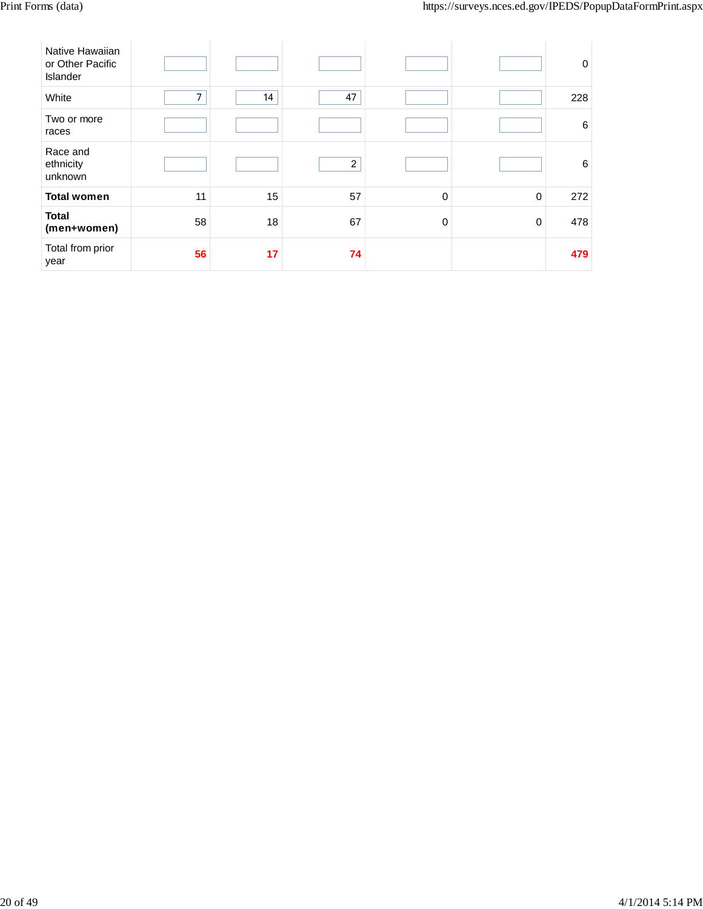| Native Hawaiian<br>or Other Pacific<br><b>Islander</b> |                |    |                         |             |   | $\mathbf 0$     |
|--------------------------------------------------------|----------------|----|-------------------------|-------------|---|-----------------|
| White                                                  | $\overline{7}$ | 14 | 47                      |             |   | 228             |
| Two or more<br>races                                   |                |    |                         |             |   | $6\phantom{1}6$ |
| Race and<br>ethnicity<br>unknown                       |                |    | $\overline{\mathbf{c}}$ |             |   | 6               |
| <b>Total women</b>                                     | 11             | 15 | 57                      | 0           | 0 | 272             |
| <b>Total</b><br>(men+women)                            | 58             | 18 | 67                      | $\mathbf 0$ | 0 | 478             |
| Total from prior<br>year                               | 56             | 17 | 74                      |             |   | 479             |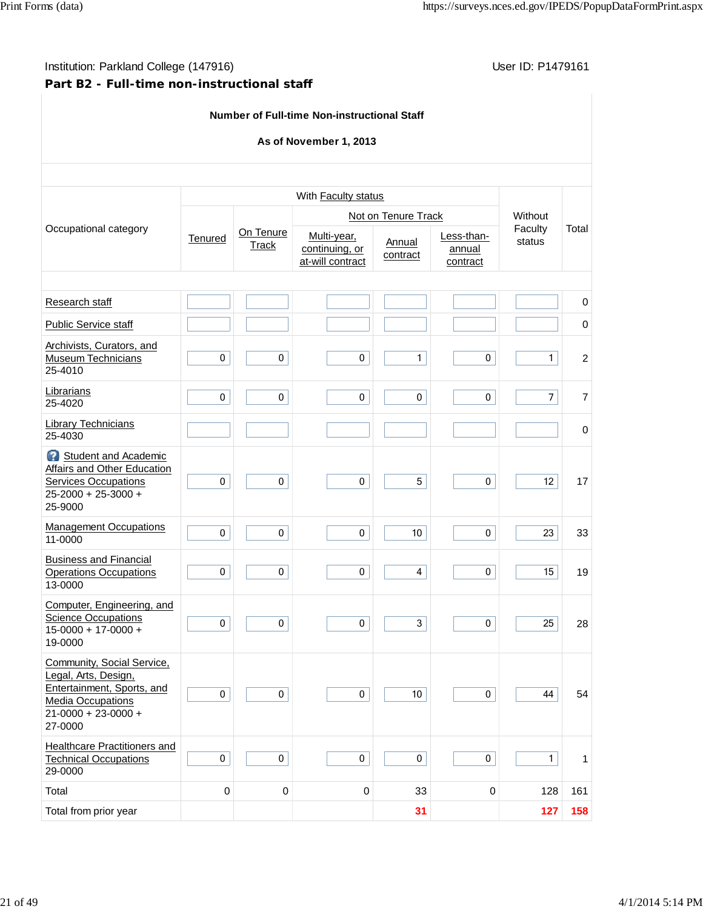# **Part B2 - Full-time non-instructional staff**

|                                                                                                                                                      |           |                           | <b>Number of Full-time Non-instructional Staff</b> |                     |                                  |                   |                |
|------------------------------------------------------------------------------------------------------------------------------------------------------|-----------|---------------------------|----------------------------------------------------|---------------------|----------------------------------|-------------------|----------------|
|                                                                                                                                                      |           |                           | As of November 1, 2013                             |                     |                                  |                   |                |
|                                                                                                                                                      |           |                           | With Faculty status                                |                     |                                  |                   |                |
|                                                                                                                                                      |           |                           |                                                    | Not on Tenure Track |                                  | Without           |                |
| Occupational category                                                                                                                                | Tenured   | On Tenure<br><b>Track</b> | Multi-year,<br>continuing, or<br>at-will contract  |                     | Less-than-<br>annual<br>contract | Faculty<br>status | Total          |
| Research staff                                                                                                                                       |           |                           |                                                    |                     |                                  |                   | $\mathbf 0$    |
| Public Service staff                                                                                                                                 |           |                           |                                                    |                     |                                  |                   | 0              |
| Archivists, Curators, and<br><b>Museum Technicians</b><br>25-4010                                                                                    | 0         | 0                         | 0                                                  | 1                   | 0                                | 1                 | $\overline{c}$ |
| Librarians<br>25-4020                                                                                                                                | $\pmb{0}$ | 0                         | 0                                                  | $\mathbf 0$         | 0                                | $\overline{7}$    | 7              |
| <b>Library Technicians</b><br>25-4030                                                                                                                |           |                           |                                                    |                     |                                  |                   | $\mathbf 0$    |
| Student and Academic<br>Affairs and Other Education<br><b>Services Occupations</b><br>25-2000 + 25-3000 +<br>25-9000                                 | $\pmb{0}$ | $\pmb{0}$                 | $\pmb{0}$                                          | 5                   | 0                                | 12                | 17             |
| <b>Management Occupations</b><br>11-0000                                                                                                             | $\pmb{0}$ | $\pmb{0}$                 | $\pmb{0}$                                          | $10$                | 0                                | 23                | 33             |
| <b>Business and Financial</b><br><b>Operations Occupations</b><br>13-0000                                                                            | 0         | $\pmb{0}$                 | 0                                                  | $\overline{4}$      | 0                                | 15                | 19             |
| Computer, Engineering, and<br><b>Science Occupations</b><br>$15-0000 + 17-0000 +$<br>19-0000                                                         | $\pmb{0}$ | $\pmb{0}$                 | 0                                                  | $\mathbf{3}$        | 0                                | 25                | 28             |
| Community, Social Service,<br>Legal, Arts, Design,<br>Entertainment, Sports, and<br><b>Media Occupations</b><br>$21 - 0000 + 23 - 0000 +$<br>27-0000 | $\pmb{0}$ | $\mathbf 0$               | 0                                                  | 10                  | $\mathbf 0$                      | 44                | 54             |
| Healthcare Practitioners and<br><b>Technical Occupations</b><br>29-0000                                                                              | $\pmb{0}$ | $\pmb{0}$                 | $\pmb{0}$                                          | $\pmb{0}$           | $\pmb{0}$                        | $\mathbf{1}$      | 1              |
| Total                                                                                                                                                | $\pmb{0}$ | $\pmb{0}$                 | $\mathbf 0$                                        | 33                  | $\boldsymbol{0}$                 | 128               | 161            |
| Total from prior year                                                                                                                                |           |                           |                                                    | 31                  |                                  | 127               | 158            |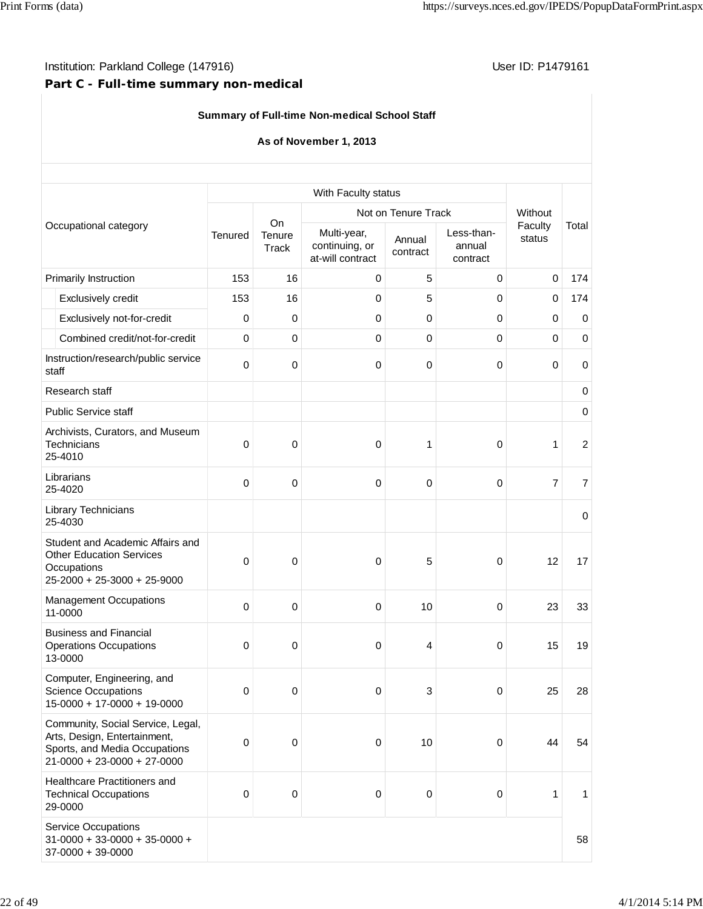# **Part C - Full-time summary non-medical**

# **Summary of Full-time Non-medical School Staff**

## **As of November 1, 2013**

| With Faculty status            |                                                                                                                                     |             |                 |                                                   |                     |                                  |                   |                |
|--------------------------------|-------------------------------------------------------------------------------------------------------------------------------------|-------------|-----------------|---------------------------------------------------|---------------------|----------------------------------|-------------------|----------------|
| Occupational category          |                                                                                                                                     |             | On              |                                                   | Not on Tenure Track |                                  | Without           |                |
|                                |                                                                                                                                     | Tenured     | Tenure<br>Track | Multi-year,<br>continuing, or<br>at-will contract | Annual<br>contract  | Less-than-<br>annual<br>contract | Faculty<br>status | Total          |
|                                | Primarily Instruction                                                                                                               | 153         | 16              | 0                                                 | 5                   | 0                                | 0                 | 174            |
|                                | Exclusively credit                                                                                                                  | 153         | 16              | 0                                                 | 5                   | 0                                | 0                 | 174            |
|                                | Exclusively not-for-credit                                                                                                          | 0           | 0               | $\Omega$                                          | 0                   | $\mathbf 0$                      | 0                 | 0              |
|                                | Combined credit/not-for-credit                                                                                                      | $\mathbf 0$ | 0               | 0                                                 | 0                   | 0                                | $\mathbf 0$       | $\mathbf 0$    |
| staff                          | Instruction/research/public service                                                                                                 | 0           | 0               | $\mathbf 0$                                       | 0                   | $\pmb{0}$                        | 0                 | $\mathbf 0$    |
|                                | Research staff                                                                                                                      |             |                 |                                                   |                     |                                  |                   | 0              |
|                                | <b>Public Service staff</b>                                                                                                         |             |                 |                                                   |                     |                                  |                   | 0              |
|                                | Archivists, Curators, and Museum<br><b>Technicians</b><br>25-4010                                                                   | 0           | 0               | 0                                                 | 1                   | 0                                | $\mathbf{1}$      | $\overline{2}$ |
|                                | Librarians<br>25-4020                                                                                                               | 0           | $\mathbf 0$     | $\mathbf 0$                                       | 0                   | 0                                | $\overline{7}$    | $\overline{7}$ |
| Library Technicians<br>25-4030 |                                                                                                                                     |             |                 |                                                   |                     |                                  |                   | $\mathbf 0$    |
|                                | Student and Academic Affairs and<br><b>Other Education Services</b><br>Occupations<br>25-2000 + 25-3000 + 25-9000                   | 0           | 0               | 0                                                 | 5                   | 0                                | 12                | 17             |
|                                | <b>Management Occupations</b><br>11-0000                                                                                            | 0           | 0               | 0                                                 | 10                  | 0                                | 23                | 33             |
|                                | <b>Business and Financial</b><br><b>Operations Occupations</b><br>13-0000                                                           | 0           | 0               | 0                                                 | 4                   | 0                                | 15                | 19             |
|                                | Computer, Engineering, and<br><b>Science Occupations</b><br>$15-0000 + 17-0000 + 19-0000$                                           | 0           | 0               | 0                                                 | 3                   | 0                                | 25                | 28             |
|                                | Community, Social Service, Legal,<br>Arts, Design, Entertainment,<br>Sports, and Media Occupations<br>$21-0000 + 23-0000 + 27-0000$ | 0           | 0               | $\mathbf 0$                                       | 10                  | 0                                | 44                | 54             |
|                                | Healthcare Practitioners and<br><b>Technical Occupations</b><br>29-0000                                                             | 0           | 0               | 0                                                 | 0                   | $\pmb{0}$                        | 1                 | 1              |
|                                | <b>Service Occupations</b><br>$31-0000 + 33-0000 + 35-0000 +$<br>$37-0000 + 39-0000$                                                |             |                 |                                                   |                     |                                  |                   | 58             |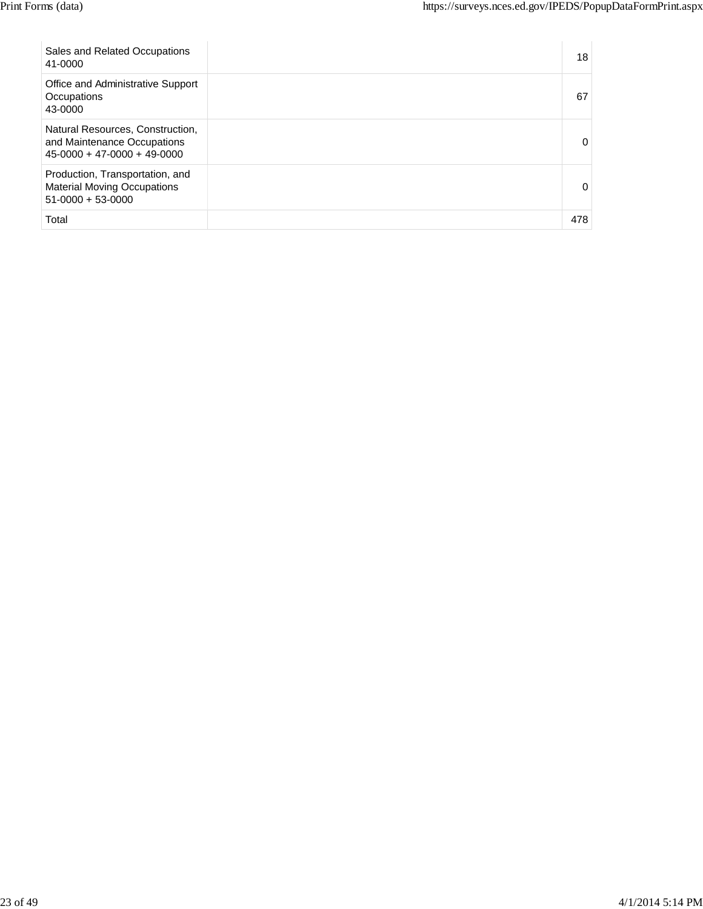| Sales and Related Occupations<br>41-0000                                                         | 18       |  |
|--------------------------------------------------------------------------------------------------|----------|--|
| Office and Administrative Support<br>Occupations<br>43-0000                                      | 67       |  |
| Natural Resources, Construction,<br>and Maintenance Occupations<br>$45-0000 + 47-0000 + 49-0000$ | 0        |  |
| Production, Transportation, and<br><b>Material Moving Occupations</b><br>$51-0000 + 53-0000$     | $\Omega$ |  |
| Total                                                                                            | 478      |  |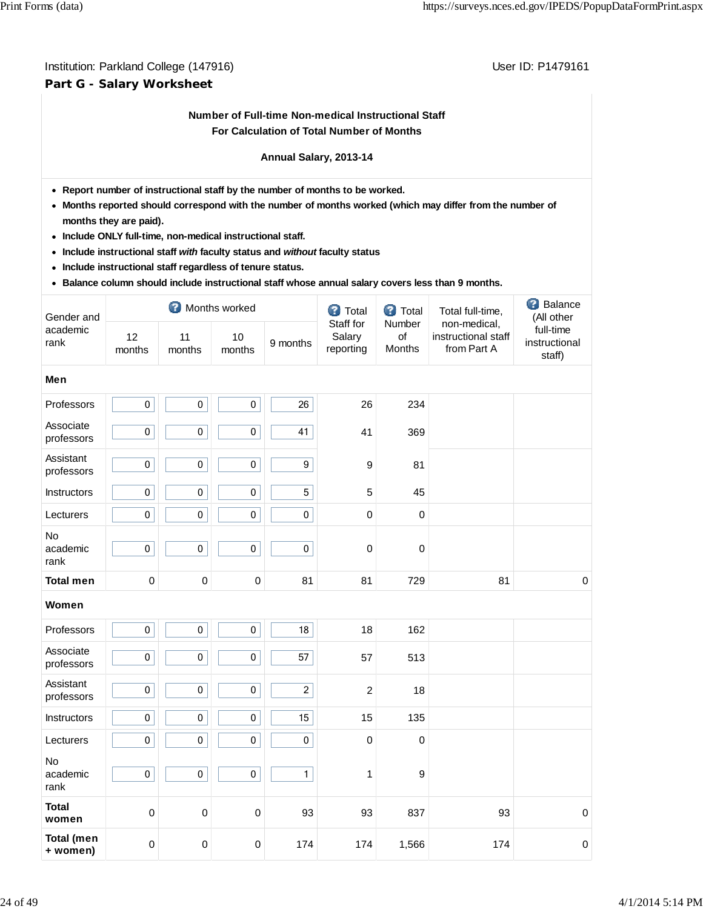# Institution: Parkland College (147916) **Institution: Parkland College (147916**) **Part G - Salary Worksheet**

## **Number of Full-time Non-medical Instructional Staff For Calculation of Total Number of Months**

#### **Annual Salary, 2013-14**

- **Report number of instructional staff by the number of months to be worked.**
- **Months reported should correspond with the number of months worked (which may differ from the number of months they are paid).**
- **Include ONLY full-time, non-medical instructional staff.**
- **Include instructional staff** *with* **faculty status and** *without* **faculty status**
- **Include instructional staff regardless of tenure status.**
- **Balance column should include instructional staff whose annual salary covers less than 9 months.**

| Gender and                    |              |                  | Months worked |                 | <b>3</b> Total                   | <b>3</b> Total         | Total full-time,                                   | <b>B</b> Balance<br>(All other       |  |  |  |  |  |
|-------------------------------|--------------|------------------|---------------|-----------------|----------------------------------|------------------------|----------------------------------------------------|--------------------------------------|--|--|--|--|--|
| academic<br>rank              | 12<br>months | 11<br>months     | 10<br>months  | 9 months        | Staff for<br>Salary<br>reporting | Number<br>of<br>Months | non-medical,<br>instructional staff<br>from Part A | full-time<br>instructional<br>staff) |  |  |  |  |  |
| Men                           |              |                  |               |                 |                                  |                        |                                                    |                                      |  |  |  |  |  |
| Professors                    | $\mathbf 0$  | $\mathbf 0$      | $\mathbf 0$   | 26              | 26                               | 234                    |                                                    |                                      |  |  |  |  |  |
| Associate<br>professors       | $\pmb{0}$    | $\pmb{0}$        | $\pmb{0}$     | 41              | 41                               | 369                    |                                                    |                                      |  |  |  |  |  |
| Assistant<br>professors       | $\pmb{0}$    | $\mathbf 0$      | 0             | $9\,$           | 9                                | 81                     |                                                    |                                      |  |  |  |  |  |
| Instructors                   | $\pmb{0}$    | $\pmb{0}$        | $\pmb{0}$     | $5\phantom{.0}$ | 5                                | 45                     |                                                    |                                      |  |  |  |  |  |
| Lecturers                     | $\pmb{0}$    | $\pmb{0}$        | 0             | $\mathbf 0$     | $\mathbf 0$                      | $\mathbf 0$            |                                                    |                                      |  |  |  |  |  |
| <b>No</b><br>academic<br>rank | $\pmb{0}$    | $\pmb{0}$        | 0             | $\mathbf 0$     | 0                                | $\mathbf 0$            |                                                    |                                      |  |  |  |  |  |
| <b>Total men</b>              | 0            | $\pmb{0}$        | $\mathbf 0$   | 81              | 81                               | 729                    | 81                                                 | $\pmb{0}$                            |  |  |  |  |  |
| Women                         |              |                  |               |                 |                                  |                        |                                                    |                                      |  |  |  |  |  |
| Professors                    | $\mathbf 0$  | $\mathbf 0$      | $\mathbf 0$   | 18              | 18                               | 162                    |                                                    |                                      |  |  |  |  |  |
| Associate<br>professors       | $\pmb{0}$    | $\pmb{0}$        | $\pmb{0}$     | 57              | 57                               | 513                    |                                                    |                                      |  |  |  |  |  |
| Assistant<br>professors       | $\pmb{0}$    | $\pmb{0}$        | 0             | $\overline{2}$  | $\overline{c}$                   | 18                     |                                                    |                                      |  |  |  |  |  |
| Instructors                   | $\pmb{0}$    | $\pmb{0}$        | $\pmb{0}$     | 15              | 15                               | 135                    |                                                    |                                      |  |  |  |  |  |
| Lecturers                     | $\pmb{0}$    | $\pmb{0}$        | $\pmb{0}$     | $\pmb{0}$       | $\mathbf 0$                      | $\mathbf 0$            |                                                    |                                      |  |  |  |  |  |
| <b>No</b><br>academic<br>rank | $\pmb{0}$    | $\pmb{0}$        | 0             | $\mathbf{1}$    | 1                                | 9                      |                                                    |                                      |  |  |  |  |  |
| <b>Total</b><br>women         | $\mathbf 0$  | $\boldsymbol{0}$ | $\mathbf 0$   | 93              | 93                               | 837                    | 93                                                 | $\mathbf 0$                          |  |  |  |  |  |
| <b>Total (men</b><br>+ women) | 0            | $\mathbf 0$      | 0             | 174             | 174                              | 1,566                  | 174                                                | $\pmb{0}$                            |  |  |  |  |  |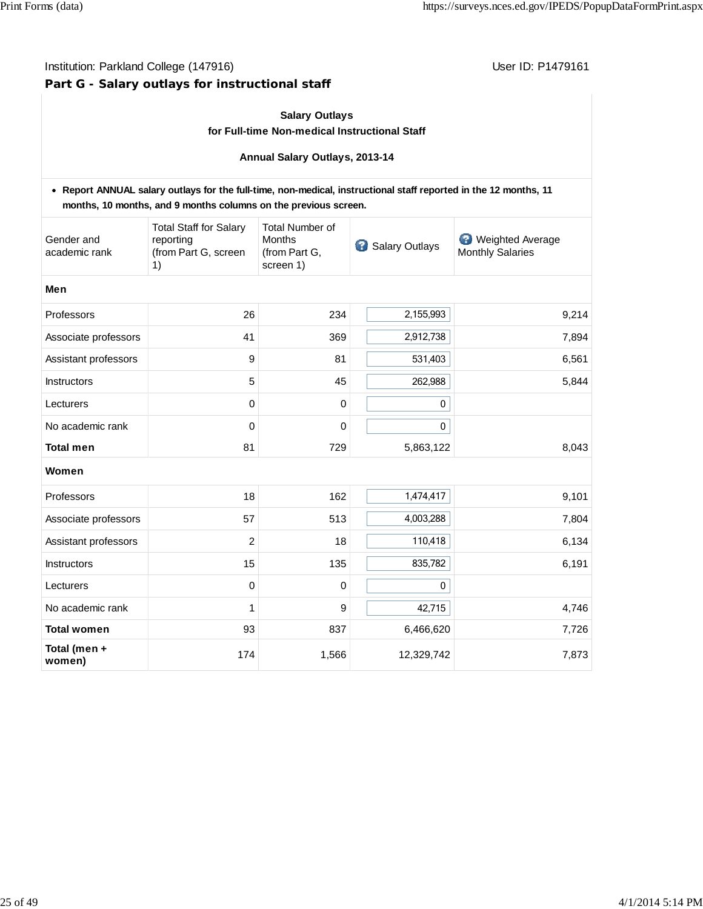# **Part G - Salary outlays for instructional staff**

## **Salary Outlays**

#### **for Full-time Non-medical Instructional Staff**

#### **Annual Salary Outlays, 2013-14**

|                             | • Report ANNUAL salary outlays for the full-time, non-medical, instructional staff reported in the 12 months, 11<br>months, 10 months, and 9 months columns on the previous screen. |                                                                       |                |                                                    |
|-----------------------------|-------------------------------------------------------------------------------------------------------------------------------------------------------------------------------------|-----------------------------------------------------------------------|----------------|----------------------------------------------------|
| Gender and<br>academic rank | <b>Total Staff for Salary</b><br>reporting<br>(from Part G, screen<br>1)                                                                                                            | <b>Total Number of</b><br><b>Months</b><br>(from Part G,<br>screen 1) | Salary Outlays | <b>Weighted Average</b><br><b>Monthly Salaries</b> |
| Men                         |                                                                                                                                                                                     |                                                                       |                |                                                    |
| Professors                  | 26                                                                                                                                                                                  | 234                                                                   | 2,155,993      | 9,214                                              |
| Associate professors        | 41                                                                                                                                                                                  | 369                                                                   | 2,912,738      | 7,894                                              |
| Assistant professors        | 9                                                                                                                                                                                   | 81                                                                    | 531,403        | 6,561                                              |
| Instructors                 | 5                                                                                                                                                                                   | 45                                                                    | 262,988        | 5,844                                              |
| Lecturers                   | 0                                                                                                                                                                                   | 0                                                                     | 0              |                                                    |
| No academic rank            | 0                                                                                                                                                                                   | 0                                                                     | 0              |                                                    |
| <b>Total men</b>            | 81                                                                                                                                                                                  | 729                                                                   | 5,863,122      | 8,043                                              |
| Women                       |                                                                                                                                                                                     |                                                                       |                |                                                    |
| Professors                  | 18                                                                                                                                                                                  | 162                                                                   | 1,474,417      | 9,101                                              |
| Associate professors        | 57                                                                                                                                                                                  | 513                                                                   | 4,003,288      | 7,804                                              |
| Assistant professors        | $\overline{2}$                                                                                                                                                                      | 18                                                                    | 110,418        | 6,134                                              |
| <b>Instructors</b>          | 15                                                                                                                                                                                  | 135                                                                   | 835,782        | 6,191                                              |
| Lecturers                   | $\mathbf 0$                                                                                                                                                                         | 0                                                                     | 0              |                                                    |
| No academic rank            | 1                                                                                                                                                                                   | 9                                                                     | 42,715         | 4,746                                              |
| <b>Total women</b>          | 93                                                                                                                                                                                  | 837                                                                   | 6,466,620      | 7,726                                              |
| Total (men +<br>women)      | 174                                                                                                                                                                                 | 1,566                                                                 | 12,329,742     | 7,873                                              |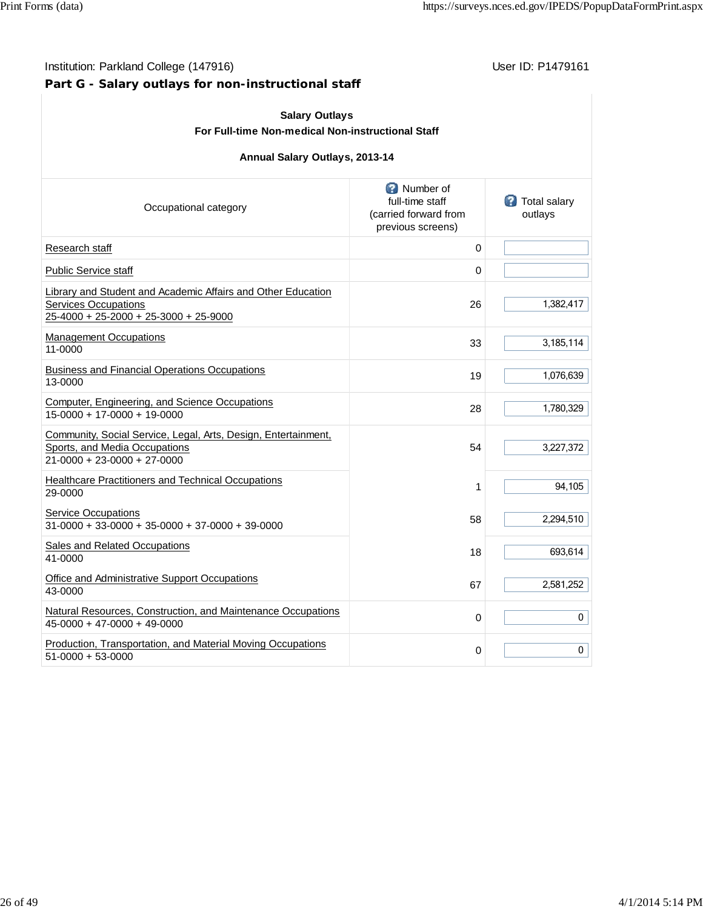# **Part G - Salary outlays for non-instructional staff**

| <b>Salary Outlays</b><br>For Full-time Non-medical Non-instructional Staff                                                           |                                                                                     |                                  |  |  |  |  |  |  |  |
|--------------------------------------------------------------------------------------------------------------------------------------|-------------------------------------------------------------------------------------|----------------------------------|--|--|--|--|--|--|--|
| Annual Salary Outlays, 2013-14                                                                                                       |                                                                                     |                                  |  |  |  |  |  |  |  |
| Occupational category                                                                                                                | <b>C</b> Number of<br>full-time staff<br>(carried forward from<br>previous screens) | <b>3</b> Total salary<br>outlays |  |  |  |  |  |  |  |
| Research staff                                                                                                                       | 0                                                                                   |                                  |  |  |  |  |  |  |  |
| <b>Public Service staff</b>                                                                                                          | 0                                                                                   |                                  |  |  |  |  |  |  |  |
| Library and Student and Academic Affairs and Other Education<br><b>Services Occupations</b><br>25-4000 + 25-2000 + 25-3000 + 25-9000 | 26                                                                                  | 1,382,417                        |  |  |  |  |  |  |  |
| <b>Management Occupations</b><br>11-0000                                                                                             | 33                                                                                  | 3,185,114                        |  |  |  |  |  |  |  |
| <b>Business and Financial Operations Occupations</b><br>13-0000                                                                      | 19                                                                                  | 1,076,639                        |  |  |  |  |  |  |  |
| Computer, Engineering, and Science Occupations<br>15-0000 + 17-0000 + 19-0000                                                        | 28                                                                                  | 1,780,329                        |  |  |  |  |  |  |  |
| Community, Social Service, Legal, Arts, Design, Entertainment,<br>Sports, and Media Occupations<br>21-0000 + 23-0000 + 27-0000       | 54                                                                                  | 3,227,372                        |  |  |  |  |  |  |  |
| Healthcare Practitioners and Technical Occupations<br>29-0000                                                                        | 1                                                                                   | 94,105                           |  |  |  |  |  |  |  |
| <b>Service Occupations</b><br>31-0000 + 33-0000 + 35-0000 + 37-0000 + 39-0000                                                        | 58                                                                                  | 2,294,510                        |  |  |  |  |  |  |  |
| <b>Sales and Related Occupations</b><br>41-0000                                                                                      | 18                                                                                  | 693,614                          |  |  |  |  |  |  |  |
| Office and Administrative Support Occupations<br>43-0000                                                                             | 67                                                                                  | 2,581,252                        |  |  |  |  |  |  |  |
| Natural Resources, Construction, and Maintenance Occupations<br>45-0000 + 47-0000 + 49-0000                                          | 0                                                                                   | 0                                |  |  |  |  |  |  |  |
| Production, Transportation, and Material Moving Occupations<br>51-0000 + 53-0000                                                     | 0                                                                                   | 0                                |  |  |  |  |  |  |  |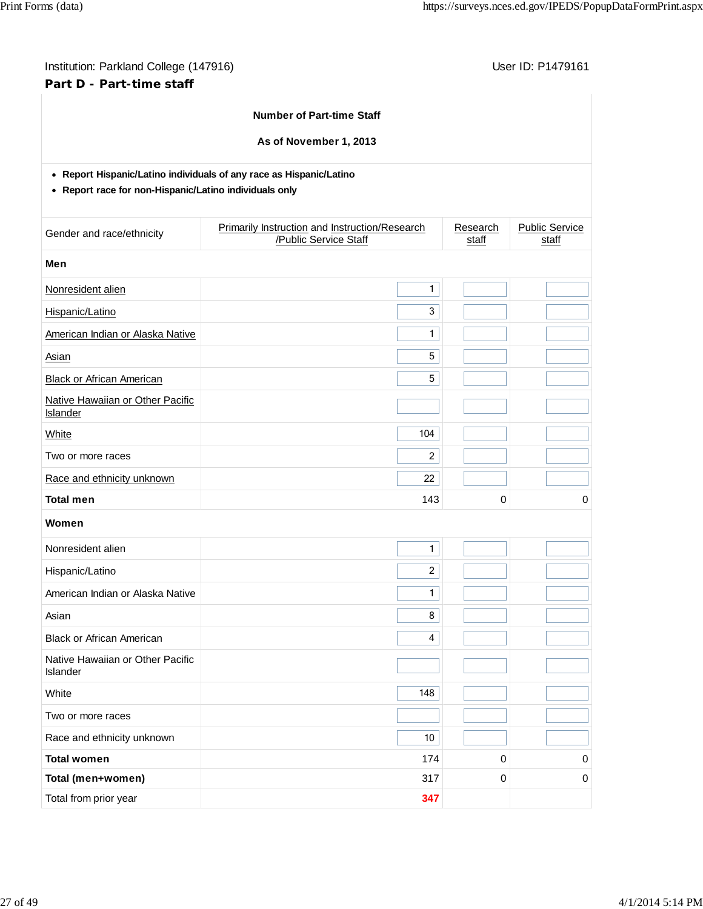| Institution: Parkland College (147916)<br>Part D - Part-time staff                                                            |                                                                         |                 |                   | User ID: P1479161              |
|-------------------------------------------------------------------------------------------------------------------------------|-------------------------------------------------------------------------|-----------------|-------------------|--------------------------------|
|                                                                                                                               | <b>Number of Part-time Staff</b>                                        |                 |                   |                                |
|                                                                                                                               |                                                                         |                 |                   |                                |
|                                                                                                                               | As of November 1, 2013                                                  |                 |                   |                                |
| • Report Hispanic/Latino individuals of any race as Hispanic/Latino<br>• Report race for non-Hispanic/Latino individuals only |                                                                         |                 |                   |                                |
| Gender and race/ethnicity                                                                                                     | Primarily Instruction and Instruction/Research<br>/Public Service Staff |                 | Research<br>staff | <b>Public Service</b><br>staff |
| Men                                                                                                                           |                                                                         |                 |                   |                                |
| Nonresident alien                                                                                                             |                                                                         | $\mathbf{1}$    |                   |                                |
| Hispanic/Latino                                                                                                               |                                                                         | 3               |                   |                                |
| American Indian or Alaska Native                                                                                              |                                                                         | 1               |                   |                                |
| Asian                                                                                                                         |                                                                         | 5               |                   |                                |
| <b>Black or African American</b>                                                                                              |                                                                         | 5               |                   |                                |
| Native Hawaiian or Other Pacific<br>Islander                                                                                  |                                                                         |                 |                   |                                |
| <b>White</b>                                                                                                                  |                                                                         | 104             |                   |                                |
| Two or more races                                                                                                             |                                                                         | $\overline{2}$  |                   |                                |
| Race and ethnicity unknown                                                                                                    |                                                                         | 22              |                   |                                |
| <b>Total men</b>                                                                                                              |                                                                         | 143             | 0                 | 0                              |
| Women                                                                                                                         |                                                                         |                 |                   |                                |
| Nonresident alien                                                                                                             |                                                                         | 1               |                   |                                |
| Hispanic/Latino                                                                                                               |                                                                         | $\overline{c}$  |                   |                                |
| American Indian or Alaska Native                                                                                              |                                                                         | $\mathbf{1}$    |                   |                                |
| Asian                                                                                                                         |                                                                         | 8               |                   |                                |
| <b>Black or African American</b>                                                                                              |                                                                         | 4               |                   |                                |
| Native Hawaiian or Other Pacific<br>Islander                                                                                  |                                                                         |                 |                   |                                |
| White                                                                                                                         |                                                                         | 148             |                   |                                |
| Two or more races                                                                                                             |                                                                         |                 |                   |                                |
| Race and ethnicity unknown                                                                                                    |                                                                         | 10 <sub>1</sub> |                   |                                |
| <b>Total women</b>                                                                                                            |                                                                         | 174             | 0                 | 0                              |
| Total (men+women)                                                                                                             |                                                                         | 317             | $\pmb{0}$         | 0                              |
| Total from prior year                                                                                                         |                                                                         | 347             |                   |                                |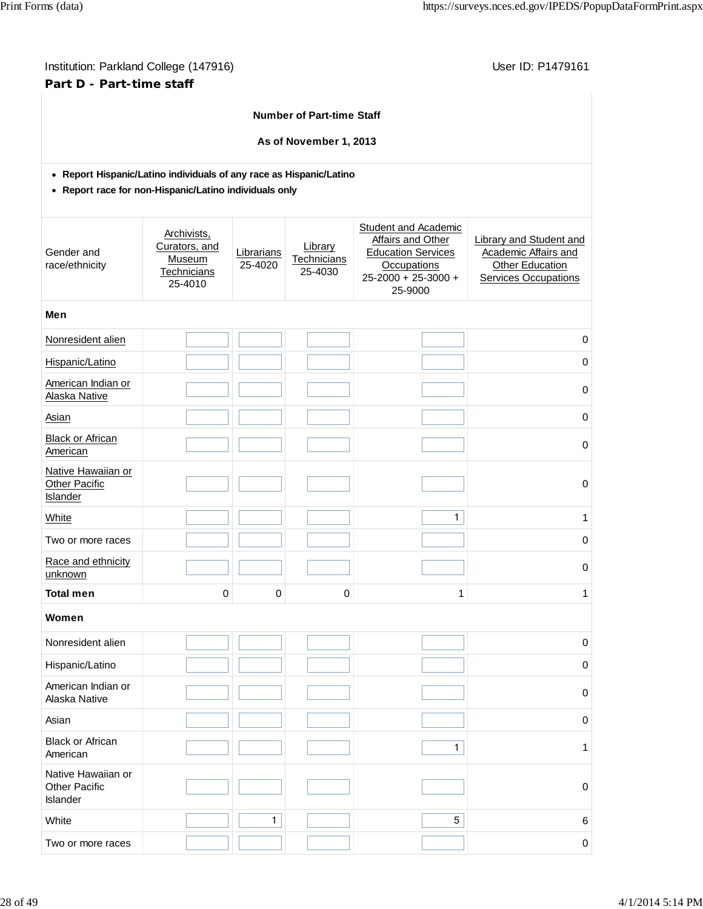| Institution: Parkland College (147916) |
|----------------------------------------|
| Part D - Part-time staff               |

User ID: P1479161

# **Number of Part-time Staff**

**As of November 1, 2013**

**Report Hispanic/Latino individuals of any race as Hispanic/Latino**

**Report race for non-Hispanic/Latino individuals only**

| Gender and<br>race/ethnicity                                  | Archivists,<br>Curators, and<br>Museum<br>Technicians<br>25-4010 | Librarians<br>25-4020 | Library<br>Technicians<br>25-4030 | Student and Academic<br>Affairs and Other<br><b>Education Services</b><br><b>Occupations</b><br>$25 - 2000 + 25 - 3000 +$<br>25-9000 | <b>Library and Student and</b><br>Academic Affairs and<br>Other Education<br>Services Occupations |
|---------------------------------------------------------------|------------------------------------------------------------------|-----------------------|-----------------------------------|--------------------------------------------------------------------------------------------------------------------------------------|---------------------------------------------------------------------------------------------------|
| Men                                                           |                                                                  |                       |                                   |                                                                                                                                      |                                                                                                   |
| Nonresident alien                                             |                                                                  |                       |                                   |                                                                                                                                      | $\mathbf 0$                                                                                       |
| Hispanic/Latino                                               |                                                                  |                       |                                   |                                                                                                                                      | $\boldsymbol{0}$                                                                                  |
| American Indian or<br>Alaska Native                           |                                                                  |                       |                                   |                                                                                                                                      | $\mathbf 0$                                                                                       |
| Asian                                                         |                                                                  |                       |                                   |                                                                                                                                      | $\boldsymbol{0}$                                                                                  |
| <b>Black or African</b><br>American                           |                                                                  |                       |                                   |                                                                                                                                      | $\mathbf 0$                                                                                       |
| Native Hawaiian or<br><b>Other Pacific</b><br><b>Islander</b> |                                                                  |                       |                                   |                                                                                                                                      | $\mathbf 0$                                                                                       |
| White                                                         |                                                                  |                       |                                   | $\mathbf{1}$                                                                                                                         | 1                                                                                                 |
| Two or more races                                             |                                                                  |                       |                                   |                                                                                                                                      | $\mathbf 0$                                                                                       |
| Race and ethnicity<br>unknown                                 |                                                                  |                       |                                   |                                                                                                                                      | $\mathbf 0$                                                                                       |
| <b>Total men</b>                                              | $\pmb{0}$                                                        | 0                     | 0                                 | 1                                                                                                                                    | 1                                                                                                 |
| Women                                                         |                                                                  |                       |                                   |                                                                                                                                      |                                                                                                   |
| Nonresident alien                                             |                                                                  |                       |                                   |                                                                                                                                      | $\mathbf 0$                                                                                       |
| Hispanic/Latino                                               |                                                                  |                       |                                   |                                                                                                                                      | $\mathbf 0$                                                                                       |
| American Indian or<br>Alaska Native                           |                                                                  |                       |                                   |                                                                                                                                      | $\pmb{0}$                                                                                         |
| Asian                                                         |                                                                  |                       |                                   |                                                                                                                                      | 0                                                                                                 |
| <b>Black or African</b><br>American                           |                                                                  |                       |                                   | $\mathbf{1}$                                                                                                                         | 1                                                                                                 |
| Native Hawaiian or<br><b>Other Pacific</b><br>Islander        |                                                                  |                       |                                   |                                                                                                                                      | $\mathbf 0$                                                                                       |
| White                                                         |                                                                  | $\mathbf{1}$          |                                   | $\sqrt{5}$                                                                                                                           | 6                                                                                                 |
| Two or more races                                             |                                                                  |                       |                                   |                                                                                                                                      | 0                                                                                                 |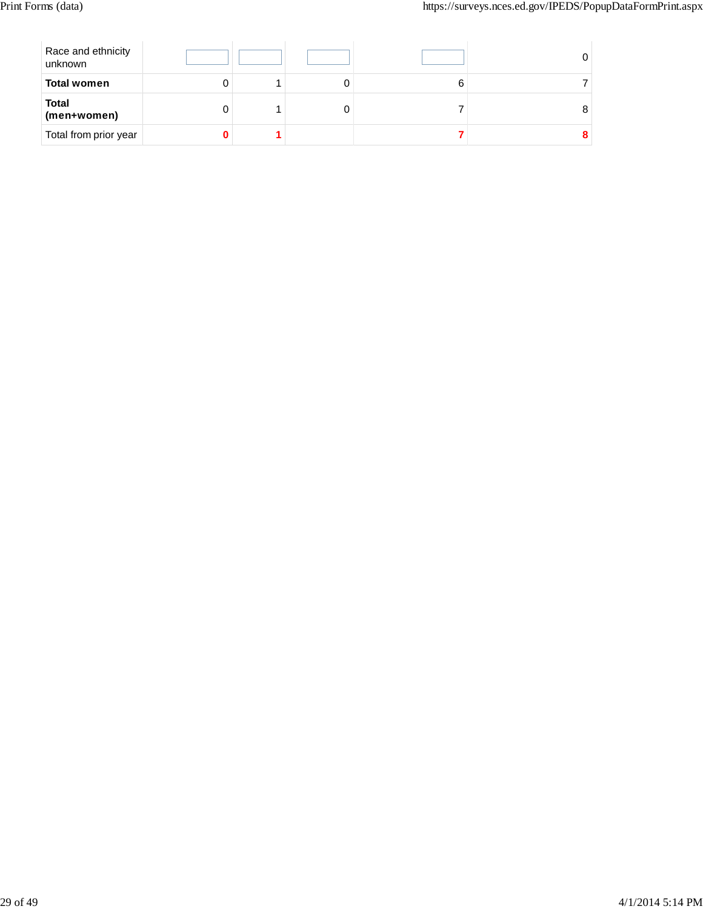| Race and ethnicity<br>unknown |  |  |  |
|-------------------------------|--|--|--|
| <b>Total women</b>            |  |  |  |
| <b>Total</b><br>(men+women)   |  |  |  |
| Total from prior year         |  |  |  |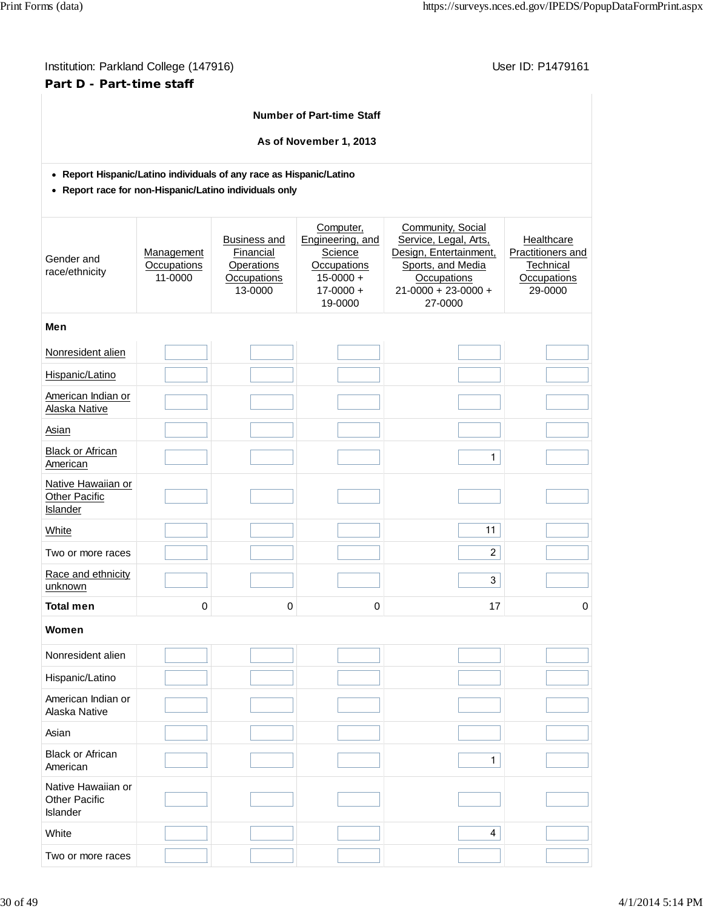# Institution: Parkland College (147916) **Institution: Parkland College (147916)** Conservation: P1479161 **Part D - Part-time staff**

|                                                                     |                                      |                                                                          | <b>Number of Part-time Staff</b>                                                                     |                                                                                                                                                  |                                                                        |
|---------------------------------------------------------------------|--------------------------------------|--------------------------------------------------------------------------|------------------------------------------------------------------------------------------------------|--------------------------------------------------------------------------------------------------------------------------------------------------|------------------------------------------------------------------------|
|                                                                     |                                      |                                                                          | As of November 1, 2013                                                                               |                                                                                                                                                  |                                                                        |
| • Report Hispanic/Latino individuals of any race as Hispanic/Latino |                                      |                                                                          |                                                                                                      |                                                                                                                                                  |                                                                        |
| • Report race for non-Hispanic/Latino individuals only              |                                      |                                                                          |                                                                                                      |                                                                                                                                                  |                                                                        |
| Gender and<br>race/ethnicity                                        | Management<br>Occupations<br>11-0000 | <b>Business and</b><br>Financial<br>Operations<br>Occupations<br>13-0000 | Computer,<br>Engineering, and<br>Science<br>Occupations<br>$15 - 0000 +$<br>$17 - 0000 +$<br>19-0000 | Community, Social<br>Service, Legal, Arts,<br>Design, Entertainment,<br>Sports, and Media<br>Occupations<br>$21 - 0000 + 23 - 0000 +$<br>27-0000 | Healthcare<br>Practitioners and<br>Technical<br>Occupations<br>29-0000 |
| Men                                                                 |                                      |                                                                          |                                                                                                      |                                                                                                                                                  |                                                                        |
| Nonresident alien                                                   |                                      |                                                                          |                                                                                                      |                                                                                                                                                  |                                                                        |
| Hispanic/Latino                                                     |                                      |                                                                          |                                                                                                      |                                                                                                                                                  |                                                                        |
| American Indian or<br>Alaska Native                                 |                                      |                                                                          |                                                                                                      |                                                                                                                                                  |                                                                        |
| Asian                                                               |                                      |                                                                          |                                                                                                      |                                                                                                                                                  |                                                                        |
| <b>Black or African</b><br>American                                 |                                      |                                                                          |                                                                                                      | $\mathbf{1}$                                                                                                                                     |                                                                        |
| Native Hawaiian or<br><b>Other Pacific</b><br>Islander              |                                      |                                                                          |                                                                                                      |                                                                                                                                                  |                                                                        |
| <b>White</b>                                                        |                                      |                                                                          |                                                                                                      | 11                                                                                                                                               |                                                                        |
| Two or more races                                                   |                                      |                                                                          |                                                                                                      | $\overline{c}$                                                                                                                                   |                                                                        |
| Race and ethnicity<br>unknown                                       |                                      |                                                                          |                                                                                                      | 3                                                                                                                                                |                                                                        |
| <b>Total men</b>                                                    | 0                                    | 0                                                                        | 0                                                                                                    | 17                                                                                                                                               | 0                                                                      |
| Women                                                               |                                      |                                                                          |                                                                                                      |                                                                                                                                                  |                                                                        |
| Nonresident alien                                                   |                                      |                                                                          |                                                                                                      |                                                                                                                                                  |                                                                        |
| Hispanic/Latino                                                     |                                      |                                                                          |                                                                                                      |                                                                                                                                                  |                                                                        |
| American Indian or<br>Alaska Native                                 |                                      |                                                                          |                                                                                                      |                                                                                                                                                  |                                                                        |
| Asian                                                               |                                      |                                                                          |                                                                                                      |                                                                                                                                                  |                                                                        |
| <b>Black or African</b><br>American                                 |                                      |                                                                          |                                                                                                      | $\mathbf{1}$                                                                                                                                     |                                                                        |
| Native Hawaiian or<br><b>Other Pacific</b><br>Islander              |                                      |                                                                          |                                                                                                      |                                                                                                                                                  |                                                                        |
| White                                                               |                                      |                                                                          |                                                                                                      | 4                                                                                                                                                |                                                                        |

Two or more races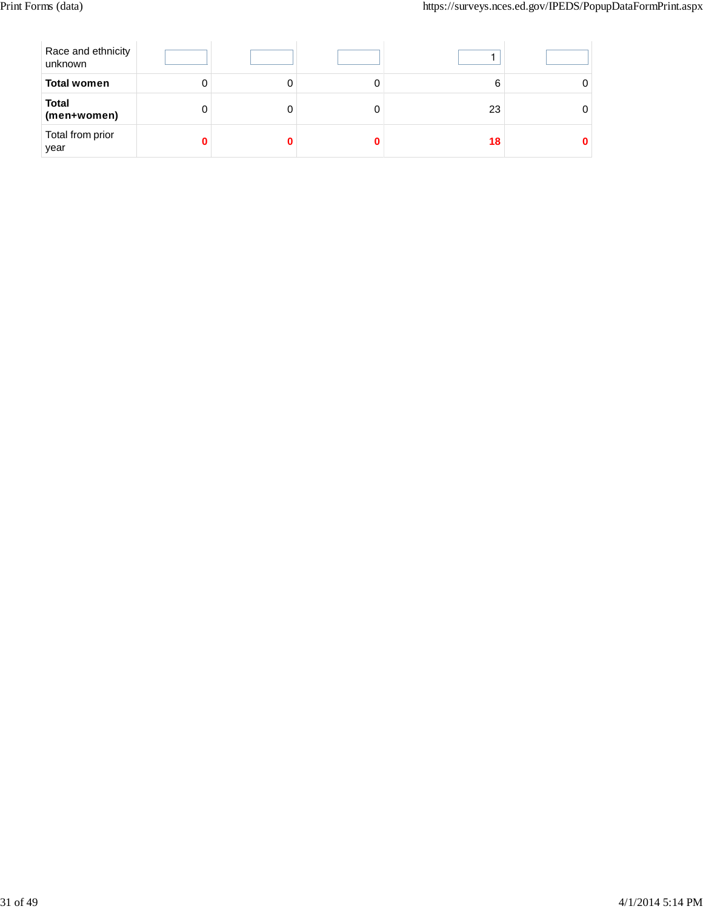| Race and ethnicity<br>unknown |   |  |    |  |
|-------------------------------|---|--|----|--|
| <b>Total women</b>            | U |  |    |  |
| <b>Total</b><br>(men+women)   | O |  | 23 |  |
| Total from prior<br>year      |   |  | 18 |  |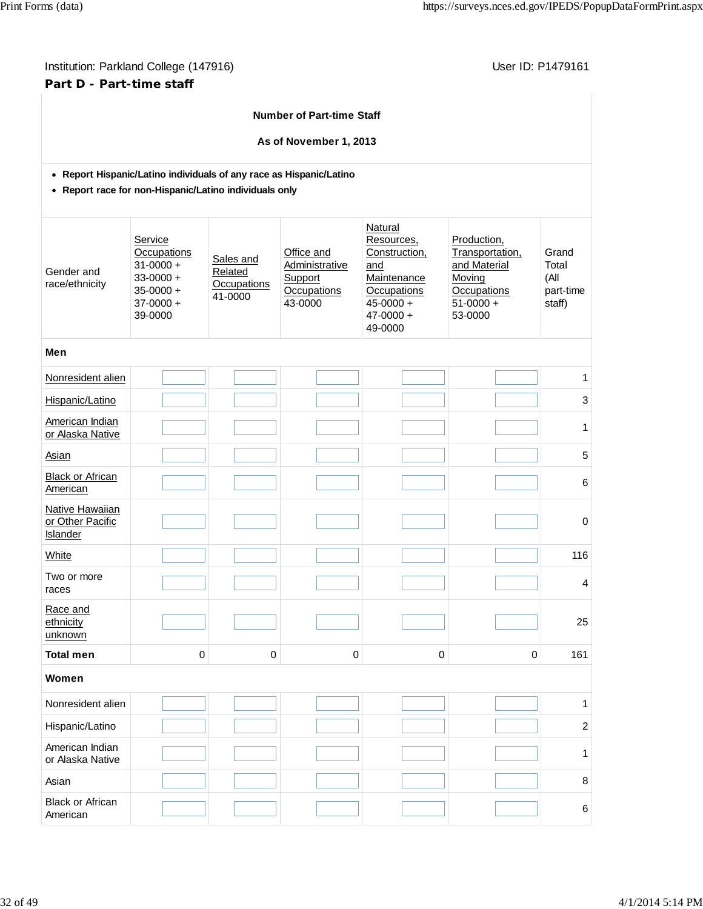# Institution: Parkland College (147916) **Institution: Parkland College (147916)** Conservation: P1479161 **Part D - Part-time staff**

| <b>Number of Part-time Staff</b>                                                                                              |                                                                                                     |           |                                                                   |                                                                                                                          |                                                                                                     |                |  |  |  |  |  |  |  |  |
|-------------------------------------------------------------------------------------------------------------------------------|-----------------------------------------------------------------------------------------------------|-----------|-------------------------------------------------------------------|--------------------------------------------------------------------------------------------------------------------------|-----------------------------------------------------------------------------------------------------|----------------|--|--|--|--|--|--|--|--|
| As of November 1, 2013                                                                                                        |                                                                                                     |           |                                                                   |                                                                                                                          |                                                                                                     |                |  |  |  |  |  |  |  |  |
| • Report Hispanic/Latino individuals of any race as Hispanic/Latino<br>• Report race for non-Hispanic/Latino individuals only |                                                                                                     |           |                                                                   |                                                                                                                          |                                                                                                     |                |  |  |  |  |  |  |  |  |
| Gender and<br>race/ethnicity                                                                                                  | Service<br>Occupations<br>$31 - 0000 +$<br>$33 - 0000 +$<br>$35 - 0000 +$<br>$37-0000 +$<br>39-0000 |           | Office and<br>Administrative<br>Support<br>Occupations<br>43-0000 | Natural<br>Resources,<br>Construction,<br>and<br>Maintenance<br>Occupations<br>$45 - 0000 +$<br>$47 - 0000 +$<br>49-0000 | Production,<br>Transportation,<br>and Material<br>Moving<br>Occupations<br>$51 - 0000 +$<br>53-0000 |                |  |  |  |  |  |  |  |  |
| Men                                                                                                                           |                                                                                                     |           |                                                                   |                                                                                                                          |                                                                                                     |                |  |  |  |  |  |  |  |  |
| Nonresident alien                                                                                                             |                                                                                                     |           |                                                                   |                                                                                                                          |                                                                                                     | 1              |  |  |  |  |  |  |  |  |
| Hispanic/Latino                                                                                                               |                                                                                                     |           |                                                                   |                                                                                                                          |                                                                                                     | 3              |  |  |  |  |  |  |  |  |
| American Indian<br>or Alaska Native                                                                                           |                                                                                                     |           |                                                                   |                                                                                                                          |                                                                                                     | 1              |  |  |  |  |  |  |  |  |
| Asian                                                                                                                         |                                                                                                     |           |                                                                   |                                                                                                                          |                                                                                                     | 5              |  |  |  |  |  |  |  |  |
| <b>Black or African</b><br>American                                                                                           |                                                                                                     |           |                                                                   |                                                                                                                          |                                                                                                     | 6              |  |  |  |  |  |  |  |  |
| Native Hawaiian<br>or Other Pacific<br>Islander                                                                               |                                                                                                     |           |                                                                   |                                                                                                                          |                                                                                                     | 0              |  |  |  |  |  |  |  |  |
| White                                                                                                                         |                                                                                                     |           |                                                                   |                                                                                                                          |                                                                                                     | 116            |  |  |  |  |  |  |  |  |
| Two or more<br>races                                                                                                          |                                                                                                     |           |                                                                   |                                                                                                                          |                                                                                                     | 4              |  |  |  |  |  |  |  |  |
| Race and<br>ethnicity<br>unknown                                                                                              |                                                                                                     |           |                                                                   |                                                                                                                          |                                                                                                     | 25             |  |  |  |  |  |  |  |  |
| <b>Total men</b>                                                                                                              | $\mathbf 0$                                                                                         | $\pmb{0}$ | $\mathbf 0$                                                       | $\pmb{0}$                                                                                                                | $\mathbf 0$                                                                                         | 161            |  |  |  |  |  |  |  |  |
| Women                                                                                                                         |                                                                                                     |           |                                                                   |                                                                                                                          |                                                                                                     |                |  |  |  |  |  |  |  |  |
| Nonresident alien                                                                                                             |                                                                                                     |           |                                                                   |                                                                                                                          |                                                                                                     | 1              |  |  |  |  |  |  |  |  |
| Hispanic/Latino                                                                                                               |                                                                                                     |           |                                                                   |                                                                                                                          |                                                                                                     | $\overline{c}$ |  |  |  |  |  |  |  |  |
| American Indian<br>or Alaska Native                                                                                           |                                                                                                     |           |                                                                   |                                                                                                                          |                                                                                                     | 1              |  |  |  |  |  |  |  |  |
| Asian                                                                                                                         |                                                                                                     |           |                                                                   |                                                                                                                          |                                                                                                     | 8              |  |  |  |  |  |  |  |  |
| <b>Black or African</b><br>American                                                                                           |                                                                                                     |           |                                                                   |                                                                                                                          |                                                                                                     | 6              |  |  |  |  |  |  |  |  |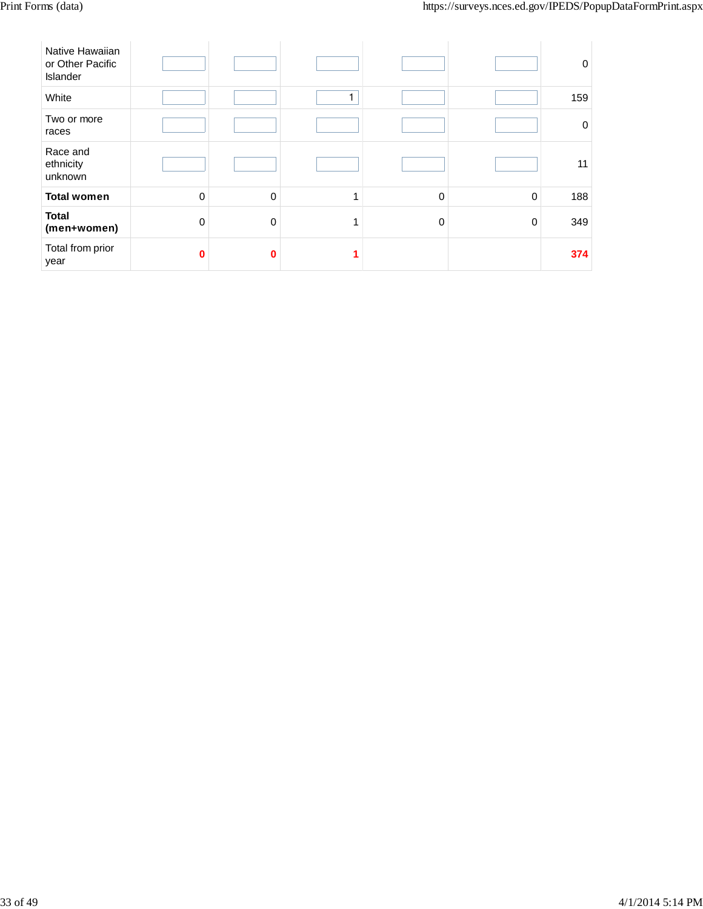| Native Hawaiian<br>or Other Pacific<br>Islander |          |          |   |   |             | 0           |
|-------------------------------------------------|----------|----------|---|---|-------------|-------------|
| White                                           |          |          |   |   |             | 159         |
| Two or more<br>races                            |          |          |   |   |             | $\mathbf 0$ |
| Race and<br>ethnicity<br>unknown                |          |          |   |   |             | 11          |
| <b>Total women</b>                              | $\Omega$ | $\Omega$ | 1 | 0 | $\mathbf 0$ | 188         |
| <b>Total</b><br>(men+women)                     | $\Omega$ | $\Omega$ | 1 | 0 | $\mathbf 0$ | 349         |
| Total from prior<br>year                        | 0        | ŋ        |   |   |             | 374         |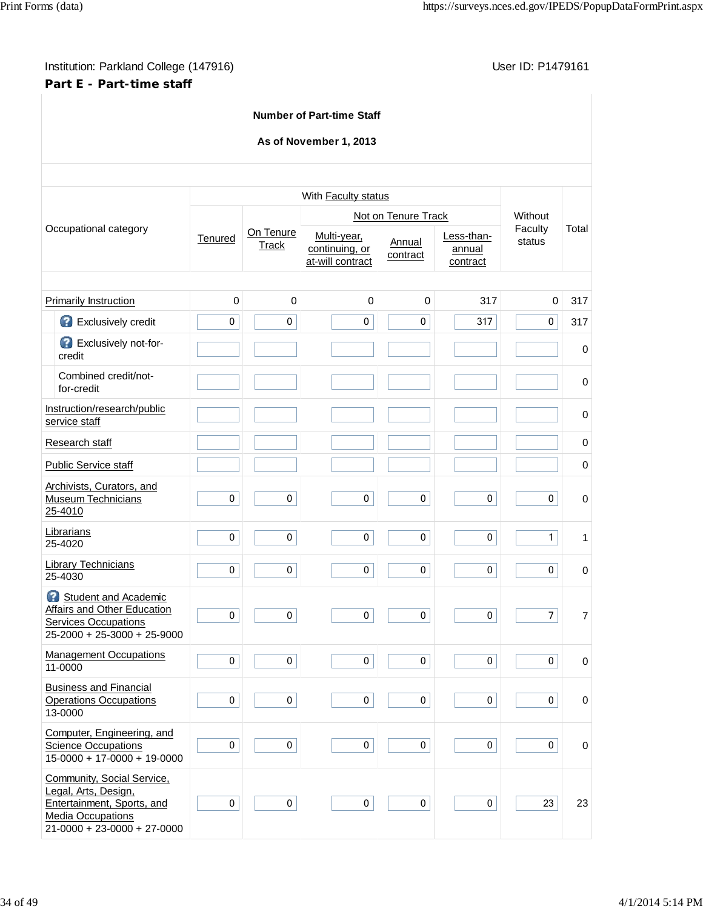# Institution: Parkland College (147916) **Institution: Parkland College (147916)** Conservation: P1479161 **Part E - Part-time staff**

|   |                                                                                                                                               |             |             | <b>Number of Part-time Staff</b>                         |                     |                    |                |             |
|---|-----------------------------------------------------------------------------------------------------------------------------------------------|-------------|-------------|----------------------------------------------------------|---------------------|--------------------|----------------|-------------|
|   |                                                                                                                                               |             |             | As of November 1, 2013                                   |                     |                    |                |             |
|   |                                                                                                                                               |             |             |                                                          |                     |                    |                |             |
|   |                                                                                                                                               |             |             | With Faculty status                                      | Not on Tenure Track |                    | Without        |             |
|   | Occupational category                                                                                                                         |             | On Tenure   | Multi-year,                                              |                     | Less-than-         | Faculty        | Total       |
|   |                                                                                                                                               | Tenured     | Track       | Annual<br>continuing, or<br>contract<br>at-will contract |                     | annual<br>contract | status         |             |
|   | <b>Primarily Instruction</b>                                                                                                                  | $\mathbf 0$ | 0           | 0                                                        | $\mathbf 0$         | 317                | $\mathbf 0$    | 317         |
|   | Exclusively credit                                                                                                                            | $\pmb{0}$   | $\pmb{0}$   | $\mathbf 0$                                              | 0                   | 317                | 0              | 317         |
|   | Exclusively not-for-<br>credit                                                                                                                |             |             |                                                          |                     |                    |                | 0           |
|   | Combined credit/not-<br>for-credit                                                                                                            |             |             |                                                          |                     |                    |                | 0           |
|   | Instruction/research/public<br>service staff                                                                                                  |             |             |                                                          |                     |                    |                | 0           |
|   | Research staff                                                                                                                                |             |             |                                                          |                     |                    |                | 0           |
|   | Public Service staff                                                                                                                          |             |             |                                                          |                     |                    |                | 0           |
|   | Archivists, Curators, and<br><b>Museum Technicians</b><br>25-4010                                                                             | 0           | 0           | $\mathbf 0$                                              | 0                   | $\pmb{0}$          | 0              | 0           |
|   | Librarians<br>25-4020                                                                                                                         | $\mathbf 0$ | $\mathbf 0$ | $\mathbf 0$                                              | $\mathbf 0$         | $\mathbf 0$        | $\mathbf{1}$   | 1           |
|   | <b>Library Technicians</b><br>25-4030                                                                                                         | 0           | 0           | 0                                                        | 0                   | $\mathbf 0$        | $\mathbf 0$    | 0           |
| B | Student and Academic<br><b>Affairs and Other Education</b><br><b>Services Occupations</b><br>$25-2000 + 25-3000 + 25-9000$                    | $\pmb{0}$   | 0           | $\pmb{0}$                                                | 0                   | $\pmb{0}$          | $\overline{7}$ | 7           |
|   | <b>Management Occupations</b><br>11-0000                                                                                                      | $\pmb{0}$   | $\pmb{0}$   | $\pmb{0}$                                                | $\pmb{0}$           | $\pmb{0}$          | $\pmb{0}$      | $\pmb{0}$   |
|   | <b>Business and Financial</b><br><b>Operations Occupations</b><br>13-0000                                                                     | $\mathbf 0$ | $\mathbf 0$ | $\mathbf 0$                                              | $\mathbf 0$         | $\mathbf 0$        | 0              | $\pmb{0}$   |
|   | Computer, Engineering, and<br><b>Science Occupations</b><br>$15-0000 + 17-0000 + 19-0000$                                                     | $\pmb{0}$   | $\pmb{0}$   | $\pmb{0}$                                                | $\mathbf 0$         | $\pmb{0}$          | 0              | $\mathsf 0$ |
|   | Community, Social Service,<br>Legal, Arts, Design,<br>Entertainment, Sports, and<br><b>Media Occupations</b><br>$21-0000 + 23-0000 + 27-0000$ | $\pmb{0}$   | $\mathbf 0$ | $\mathbf 0$                                              | $\mathbf 0$         | $\mathbf 0$        | 23             | 23          |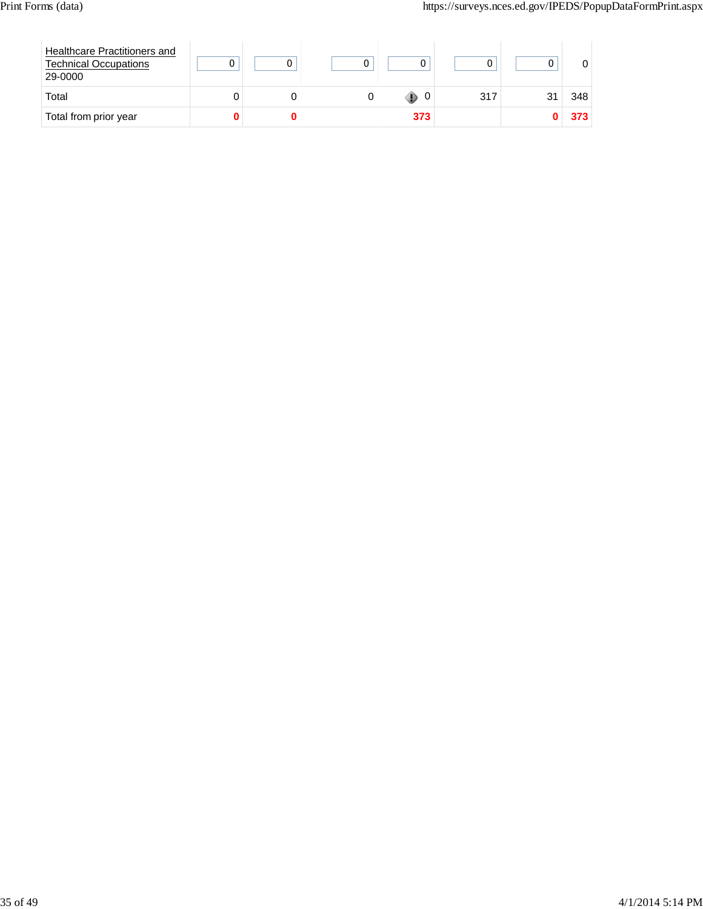| Healthcare Practitioners and<br><b>Technical Occupations</b><br>29-0000 |  |        |     |     |
|-------------------------------------------------------------------------|--|--------|-----|-----|
| Total                                                                   |  | 0<br>w | 317 | 348 |
| Total from prior year                                                   |  | 373    |     | 373 |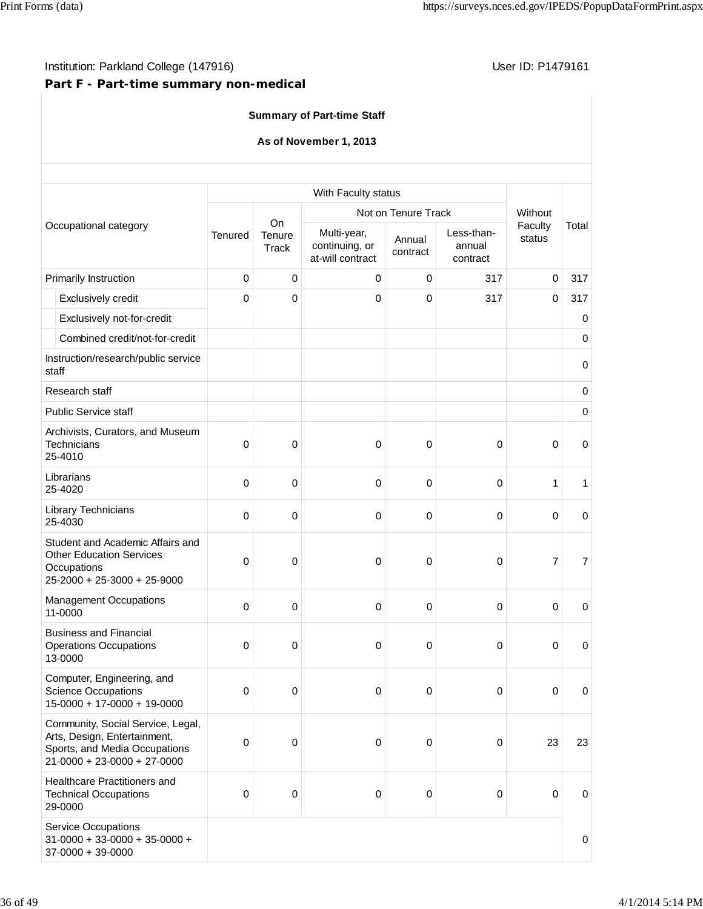# **Part F - Part-time summary non-medical**

|                                                                                                                                     |             |                              | <b>Summary of Part-time Staff</b>                 |                     |                                  |                   |                |
|-------------------------------------------------------------------------------------------------------------------------------------|-------------|------------------------------|---------------------------------------------------|---------------------|----------------------------------|-------------------|----------------|
|                                                                                                                                     |             |                              | As of November 1, 2013                            |                     |                                  |                   |                |
|                                                                                                                                     |             |                              | With Faculty status                               |                     |                                  |                   |                |
|                                                                                                                                     |             |                              |                                                   | Not on Tenure Track |                                  | Without           |                |
| Occupational category                                                                                                               | Tenured     | <b>On</b><br>Tenure<br>Track | Multi-year,<br>continuing, or<br>at-will contract | Annual<br>contract  | Less-than-<br>annual<br>contract | Faculty<br>status | Total          |
| Primarily Instruction                                                                                                               | $\mathbf 0$ | $\mathbf 0$                  | 0                                                 | $\pmb{0}$           | 317                              | $\mathbf 0$       | 317            |
| Exclusively credit                                                                                                                  | $\mathbf 0$ | $\pmb{0}$                    | $\mathbf 0$                                       | 0                   | 317                              | $\mathbf 0$       | 317            |
| Exclusively not-for-credit                                                                                                          |             |                              |                                                   |                     |                                  |                   | 0              |
| Combined credit/not-for-credit                                                                                                      |             |                              |                                                   |                     |                                  |                   | $\pmb{0}$      |
| Instruction/research/public service<br>staff                                                                                        |             |                              |                                                   |                     |                                  |                   | 0              |
| Research staff                                                                                                                      |             |                              |                                                   |                     |                                  |                   | 0              |
| <b>Public Service staff</b>                                                                                                         |             |                              |                                                   |                     |                                  |                   | 0              |
| Archivists, Curators, and Museum<br>Technicians<br>25-4010                                                                          | 0           | $\mathbf 0$                  | $\mathbf 0$                                       | $\mathbf 0$         | $\mathbf 0$                      | $\mathbf 0$       | $\mathbf 0$    |
| Librarians<br>25-4020                                                                                                               | 0           | $\mathbf 0$                  | $\mathbf 0$                                       | 0                   | $\mathbf 0$                      | $\mathbf{1}$      | $\mathbf{1}$   |
| Library Technicians<br>25-4030                                                                                                      | $\mathbf 0$ | $\boldsymbol{0}$             | $\mathbf 0$                                       | $\pmb{0}$           | $\mathbf 0$                      | $\mathbf 0$       | $\mathbf 0$    |
| Student and Academic Affairs and<br><b>Other Education Services</b><br>Occupations<br>25-2000 + 25-3000 + 25-9000                   | 0           | 0                            | $\mathbf 0$                                       | $\mathbf 0$         | $\mathbf 0$                      | $\overline{7}$    | $\overline{7}$ |
| <b>Management Occupations</b><br>11-0000                                                                                            | 0           | 0                            | 0                                                 | 0                   | 0                                | 0                 | 0              |
| <b>Business and Financial</b><br><b>Operations Occupations</b><br>13-0000                                                           | 0           | $\pmb{0}$                    | $\pmb{0}$                                         | $\mathbf 0$         | $\mathbf 0$                      | $\pmb{0}$         | 0              |
| Computer, Engineering, and<br><b>Science Occupations</b><br>$15-0000 + 17-0000 + 19-0000$                                           | $\pmb{0}$   | $\pmb{0}$                    | $\mathbf 0$                                       | $\pmb{0}$           | $\mathbf 0$                      | $\pmb{0}$         | 0              |
| Community, Social Service, Legal,<br>Arts, Design, Entertainment,<br>Sports, and Media Occupations<br>$21-0000 + 23-0000 + 27-0000$ | 0           | $\pmb{0}$                    | $\pmb{0}$                                         | $\pmb{0}$           | $\mathbf 0$                      | 23                | 23             |
| Healthcare Practitioners and<br><b>Technical Occupations</b><br>29-0000                                                             | $\pmb{0}$   | $\boldsymbol{0}$             | $\pmb{0}$                                         | $\pmb{0}$           | $\pmb{0}$                        | $\pmb{0}$         | $\mathbf 0$    |
| <b>Service Occupations</b><br>$31-0000 + 33-0000 + 35-0000 +$<br>$37-0000 + 39-0000$                                                |             |                              |                                                   |                     |                                  |                   | 0              |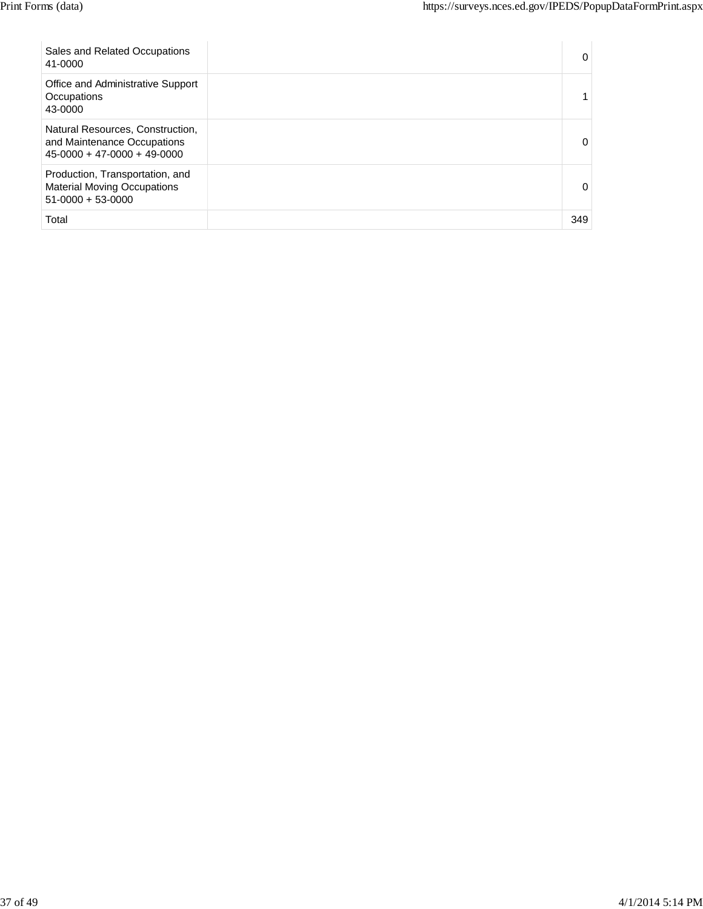| Sales and Related Occupations<br>41-0000                                                         | 0        |
|--------------------------------------------------------------------------------------------------|----------|
| Office and Administrative Support<br>Occupations<br>43-0000                                      |          |
| Natural Resources, Construction,<br>and Maintenance Occupations<br>$45-0000 + 47-0000 + 49-0000$ | $\Omega$ |
| Production, Transportation, and<br><b>Material Moving Occupations</b><br>$51-0000 + 53-0000$     | $\Omega$ |
| Total                                                                                            | 349      |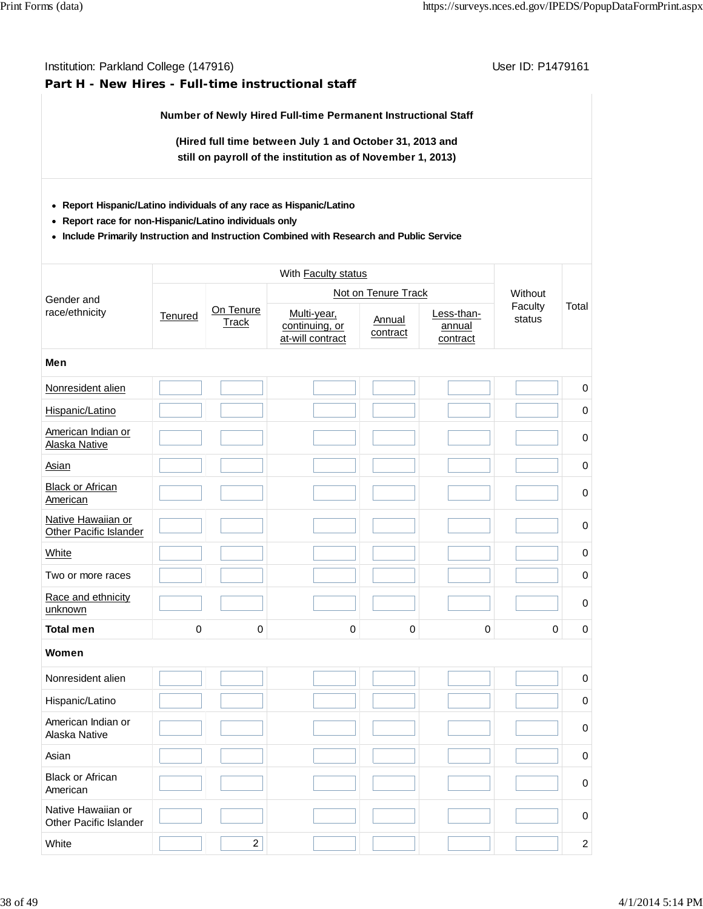## **Part H - New Hires - Full-time instructional staff**

**Number of Newly Hired Full-time Permanent Instructional Staff**

**(Hired full time between July 1 and October 31, 2013 and still on payroll of the institution as of November 1, 2013)**

- **Report Hispanic/Latino individuals of any race as Hispanic/Latino**
- **Report race for non-Hispanic/Latino individuals only**
- **Include Primarily Instruction and Instruction Combined with Research and Public Service**

| Gender and                                   |             |                           |                                                   | Not on Tenure Track |                                  | Without           |                |
|----------------------------------------------|-------------|---------------------------|---------------------------------------------------|---------------------|----------------------------------|-------------------|----------------|
| race/ethnicity                               | Tenured     | On Tenure<br><b>Track</b> | Multi-year,<br>continuing, or<br>at-will contract | Annual<br>contract  | Less-than-<br>annual<br>contract | Faculty<br>status | Total          |
| Men                                          |             |                           |                                                   |                     |                                  |                   |                |
| Nonresident alien                            |             |                           |                                                   |                     |                                  |                   | $\pmb{0}$      |
| Hispanic/Latino                              |             |                           |                                                   |                     |                                  |                   | $\mathbf 0$    |
| American Indian or<br>Alaska Native          |             |                           |                                                   |                     |                                  |                   | $\mathbf 0$    |
| Asian                                        |             |                           |                                                   |                     |                                  |                   | $\mathbf 0$    |
| <b>Black or African</b><br>American          |             |                           |                                                   |                     |                                  |                   | $\pmb{0}$      |
| Native Hawaiian or<br>Other Pacific Islander |             |                           |                                                   |                     |                                  |                   | $\pmb{0}$      |
| White                                        |             |                           |                                                   |                     |                                  |                   | $\mathbf 0$    |
| Two or more races                            |             |                           |                                                   |                     |                                  |                   | $\pmb{0}$      |
| Race and ethnicity<br>unknown                |             |                           |                                                   |                     |                                  |                   | 0              |
| <b>Total men</b>                             | $\mathbf 0$ | $\mathsf 0$               | $\mathbf 0$                                       | $\mathbf 0$         | $\overline{0}$                   | 0                 | $\mathbf 0$    |
| Women                                        |             |                           |                                                   |                     |                                  |                   |                |
| Nonresident alien                            |             |                           |                                                   |                     |                                  |                   | $\mathbf 0$    |
| Hispanic/Latino                              |             |                           |                                                   |                     |                                  |                   | $\mathbf 0$    |
| American Indian or<br>Alaska Native          |             |                           |                                                   |                     |                                  |                   | $\pmb{0}$      |
| Asian                                        |             |                           |                                                   |                     |                                  |                   | $\pmb{0}$      |
| <b>Black or African</b><br>American          |             |                           |                                                   |                     |                                  |                   | $\pmb{0}$      |
| Native Hawaiian or<br>Other Pacific Islander |             |                           |                                                   |                     |                                  |                   | $\pmb{0}$      |
| White                                        |             | $\overline{2}$            |                                                   |                     |                                  |                   | $\overline{2}$ |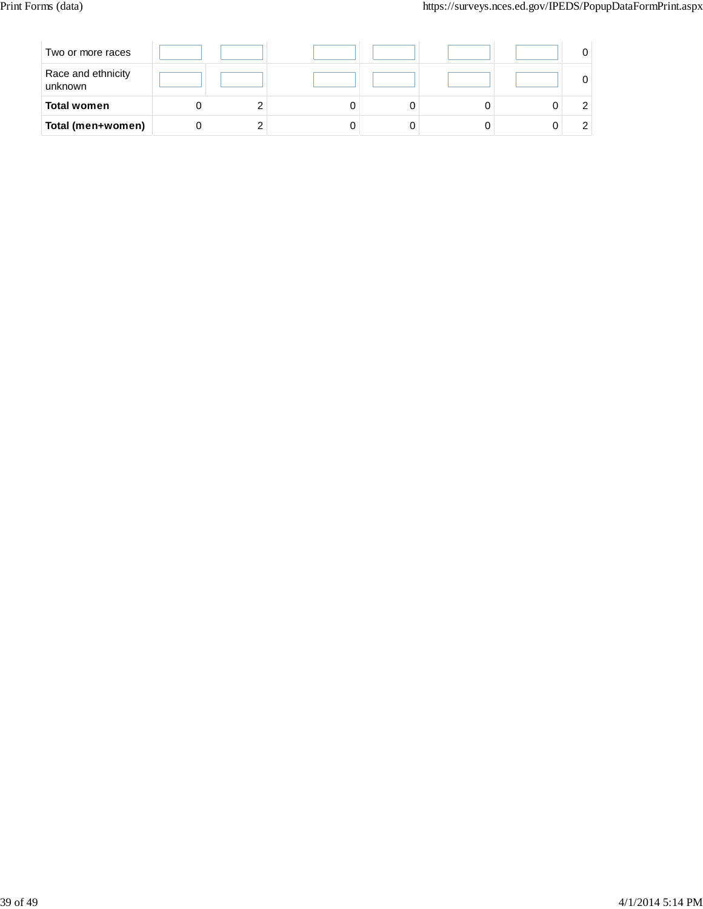| Two or more races             |  |  |  |  |
|-------------------------------|--|--|--|--|
| Race and ethnicity<br>unknown |  |  |  |  |
| <b>Total women</b>            |  |  |  |  |
| Total (men+women)             |  |  |  |  |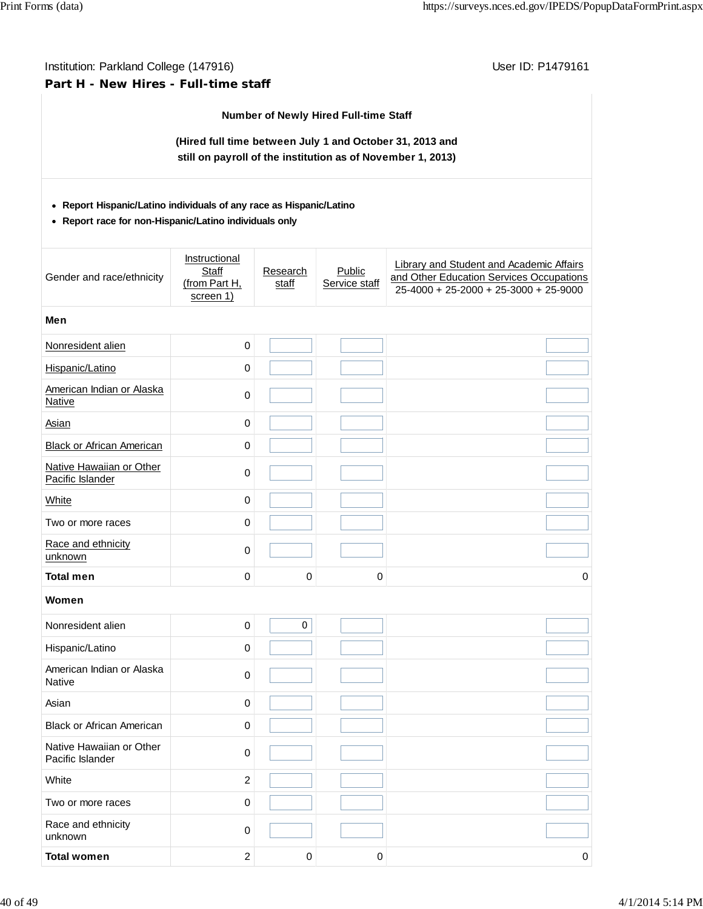# Institution: Parkland College (147916) Contract College (147916) **Part H - New Hires - Full-time staff**

#### **Number of Newly Hired Full-time Staff**

**(Hired full time between July 1 and October 31, 2013 and still on payroll of the institution as of November 1, 2013)**

#### **Report Hispanic/Latino individuals of any race as Hispanic/Latino**

**Report race for non-Hispanic/Latino individuals only**

| Gender and race/ethnicity                    | Instructional<br>Staff<br>(from Part H,<br>screen 1) | Research<br>staff | Public<br>Service staff | Library and Student and Academic Affairs<br>and Other Education Services Occupations<br>$25-4000 + 25-2000 + 25-3000 + 25-9000$ |
|----------------------------------------------|------------------------------------------------------|-------------------|-------------------------|---------------------------------------------------------------------------------------------------------------------------------|
| Men                                          |                                                      |                   |                         |                                                                                                                                 |
| Nonresident alien                            | $\pmb{0}$                                            |                   |                         |                                                                                                                                 |
| Hispanic/Latino                              | $\pmb{0}$                                            |                   |                         |                                                                                                                                 |
| American Indian or Alaska<br><b>Native</b>   | $\pmb{0}$                                            |                   |                         |                                                                                                                                 |
| <b>Asian</b>                                 | $\pmb{0}$                                            |                   |                         |                                                                                                                                 |
| <b>Black or African American</b>             | $\pmb{0}$                                            |                   |                         |                                                                                                                                 |
| Native Hawaiian or Other<br>Pacific Islander | $\pmb{0}$                                            |                   |                         |                                                                                                                                 |
| White                                        | $\mathbf 0$                                          |                   |                         |                                                                                                                                 |
| Two or more races                            | $\pmb{0}$                                            |                   |                         |                                                                                                                                 |
| Race and ethnicity<br>unknown                | $\pmb{0}$                                            |                   |                         |                                                                                                                                 |
| <b>Total men</b>                             | $\pmb{0}$                                            | $\mathbf 0$       | 0                       | $\mathbf 0$                                                                                                                     |
| Women                                        |                                                      |                   |                         |                                                                                                                                 |
| Nonresident alien                            | $\pmb{0}$                                            | 0                 |                         |                                                                                                                                 |
| Hispanic/Latino                              | $\pmb{0}$                                            |                   |                         |                                                                                                                                 |
| American Indian or Alaska<br><b>Native</b>   | $\pmb{0}$                                            |                   |                         |                                                                                                                                 |
| Asian                                        | $\pmb{0}$                                            |                   |                         |                                                                                                                                 |
| <b>Black or African American</b>             | $\mathbf 0$                                          |                   |                         |                                                                                                                                 |
| Native Hawaiian or Other<br>Pacific Islander | $\pmb{0}$                                            |                   |                         |                                                                                                                                 |
| White                                        | $\sqrt{2}$                                           |                   |                         |                                                                                                                                 |
| Two or more races                            | 0                                                    |                   |                         |                                                                                                                                 |
| Race and ethnicity<br>unknown                | $\pmb{0}$                                            |                   |                         |                                                                                                                                 |
| <b>Total women</b>                           | $\overline{c}$                                       | $\mathbf 0$       | $\pmb{0}$               | $\mathsf{O}\,\,$                                                                                                                |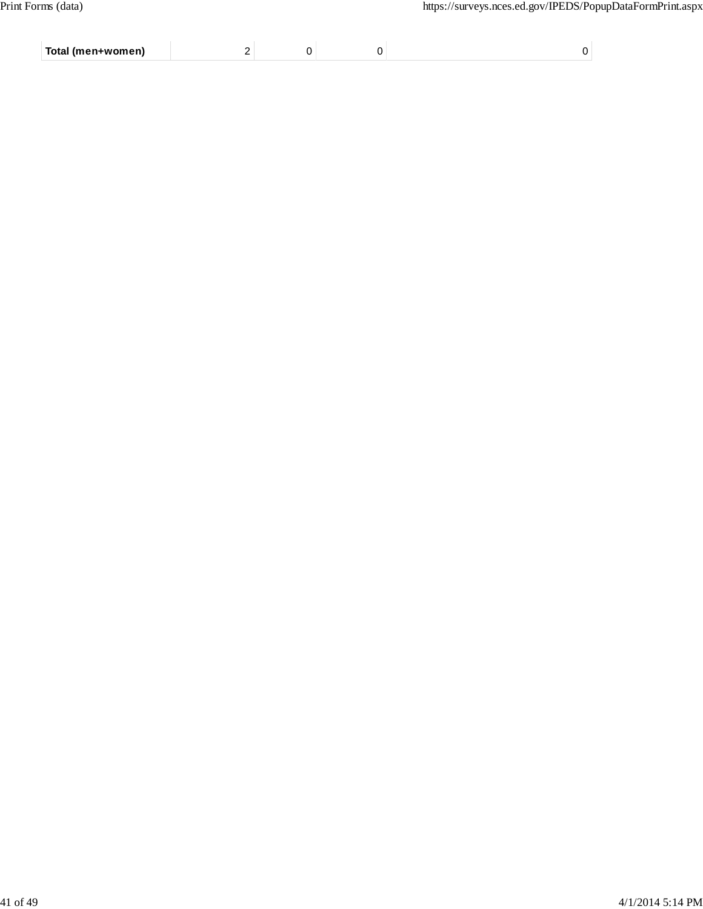| Total (men+women) |  |  |
|-------------------|--|--|
|                   |  |  |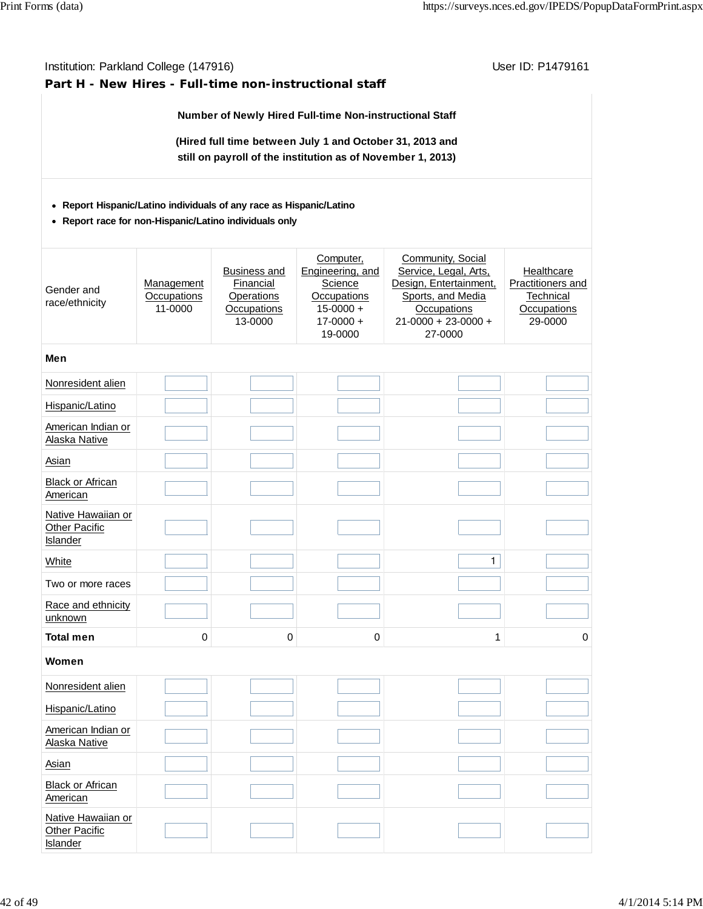#### Institution: Parkland College (147916) November 2012 12: Physics User ID: P1479161 **Part H - New Hires - Full-time non-instructional staff Number of Newly Hired Full-time Non-instructional Staff (Hired full time between July 1 and October 31, 2013 and still on payroll of the institution as of November 1, 2013) Report Hispanic/Latino individuals of any race as Hispanic/Latino Report race for non-Hispanic/Latino individuals only** Gender and race/ethnicity **Management Occupations** 11-0000 Business and **Financial Operations Occupations** 13-0000 Computer, Engineering, and **Science Occupations**  $15-0000 +$  $17-0000 +$ 19-0000 Community, Social Service, Legal, Arts, Design, Entertainment, Sports, and Media **Occupations** 21-0000 + 23-0000 + 27-0000 **Healthcare** Practitioners and **Technical Occupations** 29-0000 **Men** Nonresident alien Hispanic/Latino American Indian or Alaska Native Asian Black or African **American** Native Hawaiian or **Other Pacific Islander**  $\blacksquare$  ) , and the contract of the contract of  $\blacksquare$  ) , and  $\blacksquare$  , and  $\blacksquare$  , and  $\blacksquare$  , and  $\blacksquare$  , and  $\blacksquare$  , and  $\blacksquare$  , and  $\blacksquare$  , and  $\blacksquare$  , and  $\blacksquare$  , and  $\blacksquare$  , and  $\blacksquare$  , and  $\blacksquare$  , and  $\bl$ Two or more races Race and ethnicity unknown **Total men 0 0 0 1 0 Women** Nonresident alien Hispanic/Latino American Indian or Alaska Native **Asian** Black or African **American** Native Hawaiian or Other Pacific

**Islander**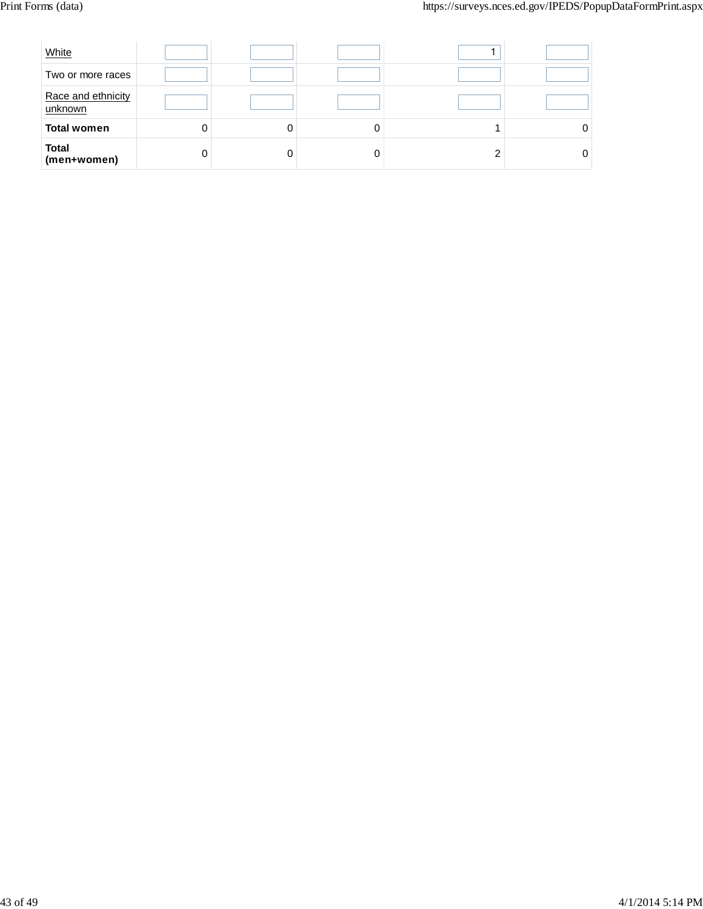| White                         |   |  |  |
|-------------------------------|---|--|--|
| Two or more races             |   |  |  |
| Race and ethnicity<br>unknown |   |  |  |
| <b>Total women</b>            | 0 |  |  |
| <b>Total</b><br>(men+women)   |   |  |  |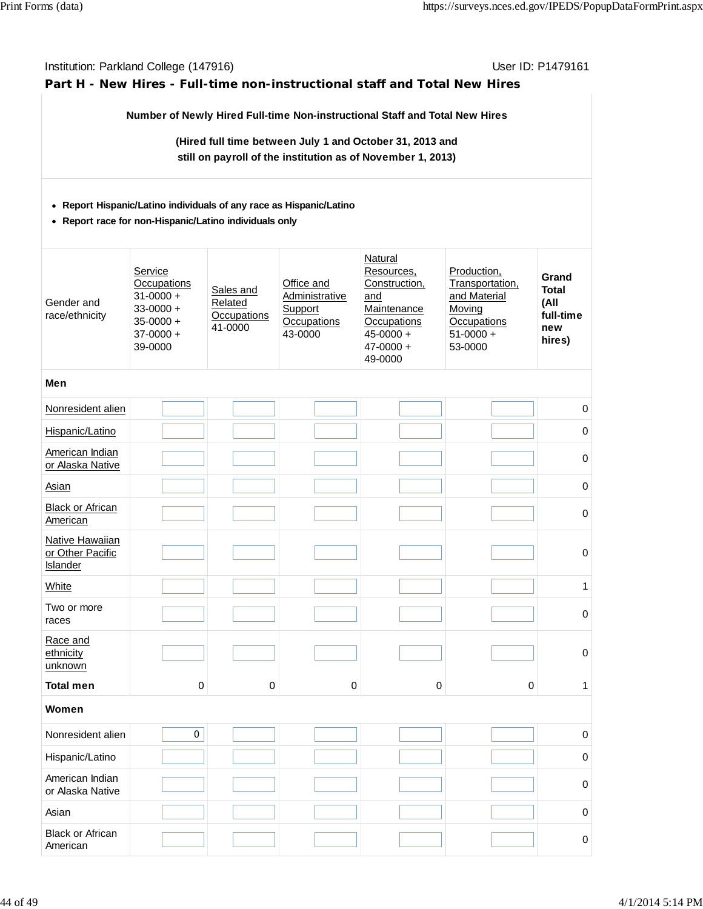| Institution: Parkland College (147916)<br>User ID: P1479161<br>Part H - New Hires - Full-time non-instructional staff and Total New Hires |                                                                                                              |                                                       |                                                                          |                                                                                                                          |                                                                                                   |                                                             |  |  |  |  |
|-------------------------------------------------------------------------------------------------------------------------------------------|--------------------------------------------------------------------------------------------------------------|-------------------------------------------------------|--------------------------------------------------------------------------|--------------------------------------------------------------------------------------------------------------------------|---------------------------------------------------------------------------------------------------|-------------------------------------------------------------|--|--|--|--|
|                                                                                                                                           |                                                                                                              |                                                       |                                                                          | Number of Newly Hired Full-time Non-instructional Staff and Total New Hires                                              |                                                                                                   |                                                             |  |  |  |  |
| (Hired full time between July 1 and October 31, 2013 and<br>still on payroll of the institution as of November 1, 2013)                   |                                                                                                              |                                                       |                                                                          |                                                                                                                          |                                                                                                   |                                                             |  |  |  |  |
| • Report Hispanic/Latino individuals of any race as Hispanic/Latino<br>• Report race for non-Hispanic/Latino individuals only             |                                                                                                              |                                                       |                                                                          |                                                                                                                          |                                                                                                   |                                                             |  |  |  |  |
| Gender and<br>race/ethnicity                                                                                                              | Service<br><b>Occupations</b><br>$31 - 0000 +$<br>$33 - 0000 +$<br>$35 - 0000 +$<br>$37 - 0000 +$<br>39-0000 | Sales and<br>Related<br><b>Occupations</b><br>41-0000 | Office and<br><b>Administrative</b><br>Support<br>Occupations<br>43-0000 | Natural<br>Resources,<br>Construction,<br>and<br>Maintenance<br>Occupations<br>$45 - 0000 +$<br>$47 - 0000 +$<br>49-0000 | Production,<br>Transportation,<br>and Material<br>Moving<br>Occupations<br>$51-0000 +$<br>53-0000 | Grand<br><b>Total</b><br>(All<br>full-time<br>new<br>hires) |  |  |  |  |
| Men                                                                                                                                       |                                                                                                              |                                                       |                                                                          |                                                                                                                          |                                                                                                   |                                                             |  |  |  |  |
| Nonresident alien                                                                                                                         |                                                                                                              |                                                       |                                                                          |                                                                                                                          |                                                                                                   | 0                                                           |  |  |  |  |
| Hispanic/Latino                                                                                                                           |                                                                                                              |                                                       |                                                                          |                                                                                                                          |                                                                                                   | 0                                                           |  |  |  |  |
| American Indian<br>or Alaska Native                                                                                                       |                                                                                                              |                                                       |                                                                          |                                                                                                                          |                                                                                                   | 0                                                           |  |  |  |  |
| Asian                                                                                                                                     |                                                                                                              |                                                       |                                                                          |                                                                                                                          |                                                                                                   | 0                                                           |  |  |  |  |
| <b>Black or African</b><br><b>American</b>                                                                                                |                                                                                                              |                                                       |                                                                          |                                                                                                                          |                                                                                                   | 0                                                           |  |  |  |  |
| Native Hawaiian<br>or Other Pacific<br>Islander                                                                                           |                                                                                                              |                                                       |                                                                          |                                                                                                                          |                                                                                                   | 0                                                           |  |  |  |  |
| White                                                                                                                                     |                                                                                                              |                                                       |                                                                          |                                                                                                                          |                                                                                                   | 1                                                           |  |  |  |  |
| Two or more<br>races                                                                                                                      |                                                                                                              |                                                       |                                                                          |                                                                                                                          |                                                                                                   | 0                                                           |  |  |  |  |
| Race and<br>ethnicity<br>unknown                                                                                                          |                                                                                                              |                                                       |                                                                          |                                                                                                                          |                                                                                                   | 0                                                           |  |  |  |  |
| <b>Total men</b>                                                                                                                          | 0                                                                                                            | 0                                                     | 0                                                                        | $\mathbf 0$                                                                                                              | $\pmb{0}$                                                                                         | 1                                                           |  |  |  |  |
| Women                                                                                                                                     |                                                                                                              |                                                       |                                                                          |                                                                                                                          |                                                                                                   |                                                             |  |  |  |  |
| Nonresident alien                                                                                                                         | 0                                                                                                            |                                                       |                                                                          |                                                                                                                          |                                                                                                   | 0                                                           |  |  |  |  |
| Hispanic/Latino                                                                                                                           |                                                                                                              |                                                       |                                                                          |                                                                                                                          |                                                                                                   | 0                                                           |  |  |  |  |
| American Indian<br>or Alaska Native                                                                                                       |                                                                                                              |                                                       |                                                                          |                                                                                                                          |                                                                                                   | 0                                                           |  |  |  |  |
| Asian                                                                                                                                     |                                                                                                              |                                                       |                                                                          |                                                                                                                          |                                                                                                   | 0                                                           |  |  |  |  |
| <b>Black or African</b><br>American                                                                                                       |                                                                                                              |                                                       |                                                                          |                                                                                                                          |                                                                                                   | 0                                                           |  |  |  |  |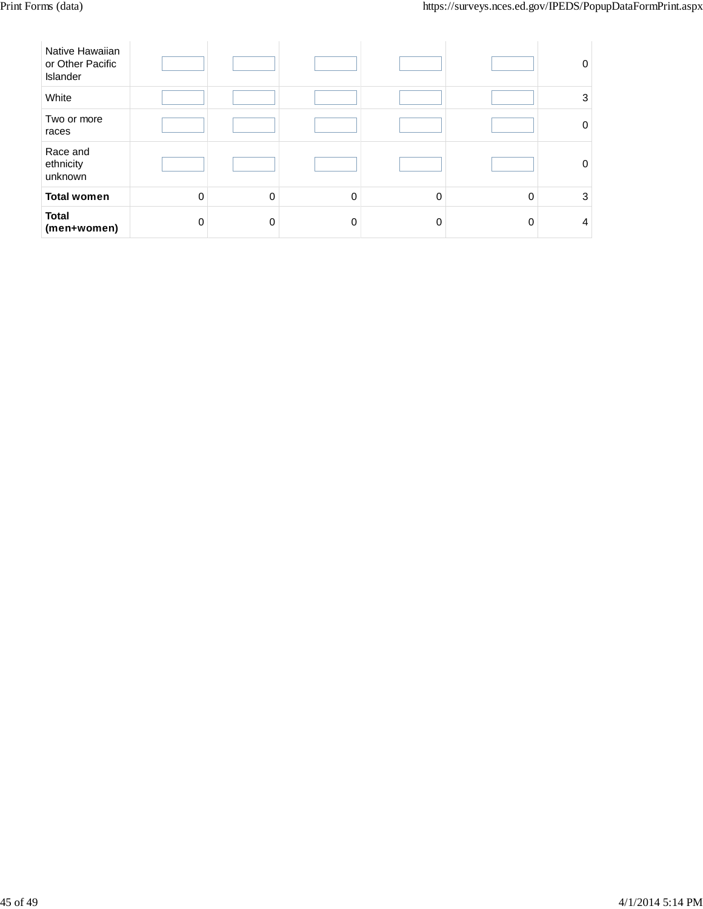| Native Hawaiian<br>or Other Pacific<br>Islander |          |          |          |          |   | 0           |
|-------------------------------------------------|----------|----------|----------|----------|---|-------------|
| White                                           |          |          |          |          |   | 3           |
| Two or more<br>races                            |          |          |          |          |   | $\mathbf 0$ |
| Race and<br>ethnicity<br>unknown                |          |          |          |          |   | $\mathbf 0$ |
| <b>Total women</b>                              | $\Omega$ | $\Omega$ | $\Omega$ | $\Omega$ | 0 | 3           |
| <b>Total</b><br>(men+women)                     | ∩        | $\Omega$ | 0        | O        | 0 | 4           |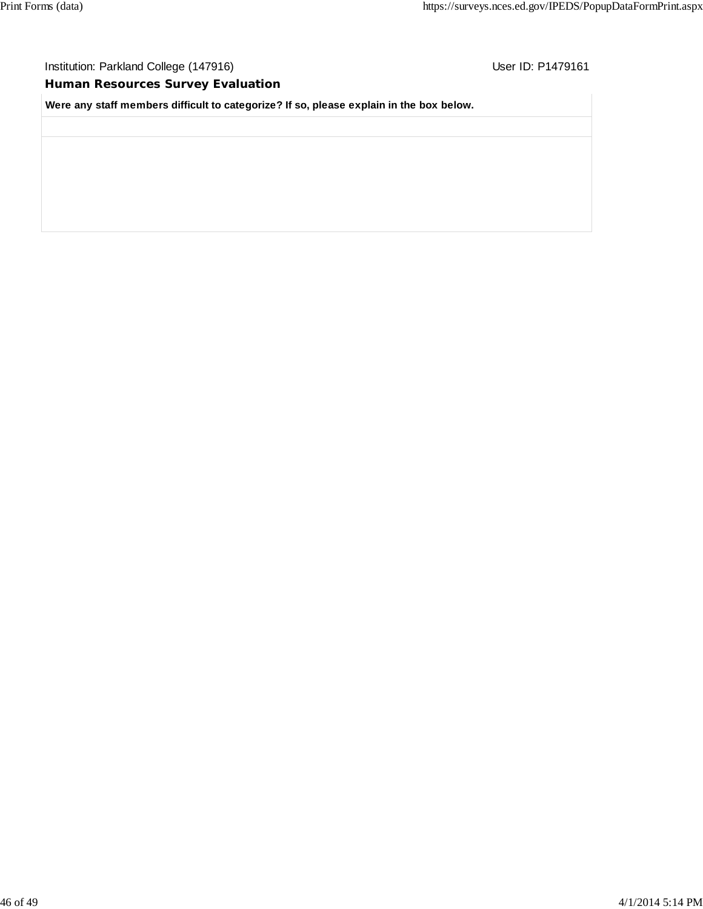# **Human Resources Survey Evaluation**

**Were any staff members difficult to categorize? If so, please explain in the box below.**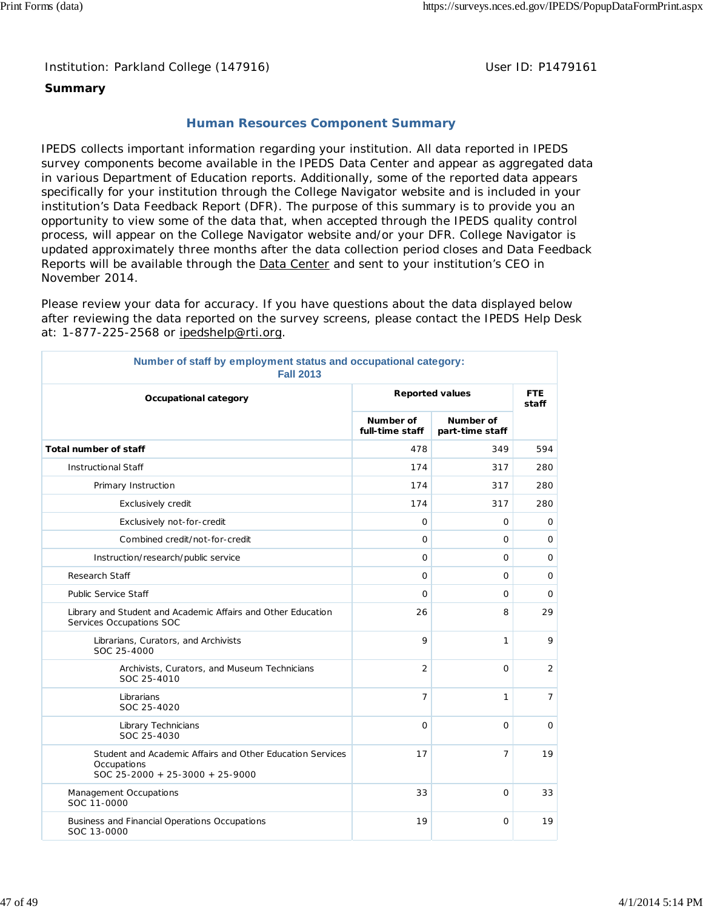Institution: Parkland College (147916) Noting the Muslim User ID: P1479161

# **Summary**

# **Human Resources Component Summary**

IPEDS collects important information regarding your institution. All data reported in IPEDS survey components become available in the IPEDS Data Center and appear as aggregated data in various Department of Education reports. Additionally, some of the reported data appears specifically for your institution through the College Navigator website and is included in your institution's Data Feedback Report (DFR). The purpose of this summary is to provide you an opportunity to view some of the data that, when accepted through the IPEDS quality control process, will appear on the College Navigator website and/or your DFR. College Navigator is updated approximately three months after the data collection period closes and Data Feedback Reports will be available through the **Data Center and sent to your institution's CEO** in November 2014.

Please review your data for accuracy. If you have questions about the data displayed below after reviewing the data reported on the survey screens, please contact the IPEDS Help Desk at: 1-877-225-2568 or ipedshelp@rti.org.

| Number of staff by employment status and occupational category:<br><b>Fall 2013</b>                         |                              |                              |                |  |  |  |
|-------------------------------------------------------------------------------------------------------------|------------------------------|------------------------------|----------------|--|--|--|
| Occupational category                                                                                       |                              | <b>Reported values</b>       |                |  |  |  |
|                                                                                                             | Number of<br>full-time staff | Number of<br>part-time staff |                |  |  |  |
| Total number of staff                                                                                       | 478                          | 349                          | 594            |  |  |  |
| <b>Instructional Staff</b>                                                                                  | 174                          | 317                          | 280            |  |  |  |
| Primary Instruction                                                                                         | 174                          | 317                          | 280            |  |  |  |
| Exclusively credit                                                                                          | 174                          | 317                          | 280            |  |  |  |
| Exclusively not-for-credit                                                                                  | $\Omega$                     | 0                            | $\mathbf 0$    |  |  |  |
| Combined credit/not-for-credit                                                                              | $\mathbf 0$                  | 0                            | 0              |  |  |  |
| Instruction/research/public service                                                                         | $\mathbf 0$                  | 0                            | $\mathbf 0$    |  |  |  |
| Research Staff                                                                                              | 0                            | 0                            | 0              |  |  |  |
| <b>Public Service Staff</b>                                                                                 | $\overline{O}$               | $\mathbf 0$                  | $\mathbf 0$    |  |  |  |
| Library and Student and Academic Affairs and Other Education<br>Services Occupations SOC                    | 26                           | 8                            | 29             |  |  |  |
| Librarians, Curators, and Archivists<br>SOC 25-4000                                                         | 9                            | $\mathbf{1}$                 | 9              |  |  |  |
| Archivists, Curators, and Museum Technicians<br>SOC 25-4010                                                 | $\overline{2}$               | 0                            | $\overline{2}$ |  |  |  |
| Librarians<br>SOC 25-4020                                                                                   | $\overline{7}$               | $\mathbf{1}$                 | $\overline{7}$ |  |  |  |
| Library Technicians<br>SOC 25-4030                                                                          | $\Omega$                     | $\Omega$                     | $\Omega$       |  |  |  |
| Student and Academic Affairs and Other Education Services<br>Occupations<br>SOC 25-2000 + 25-3000 + 25-9000 | 17                           | 7                            | 19             |  |  |  |
| Management Occupations<br>SOC 11-0000                                                                       | 33                           | 0                            | 33             |  |  |  |
| Business and Financial Operations Occupations<br>SOC 13-0000                                                | 19                           | 0                            | 19             |  |  |  |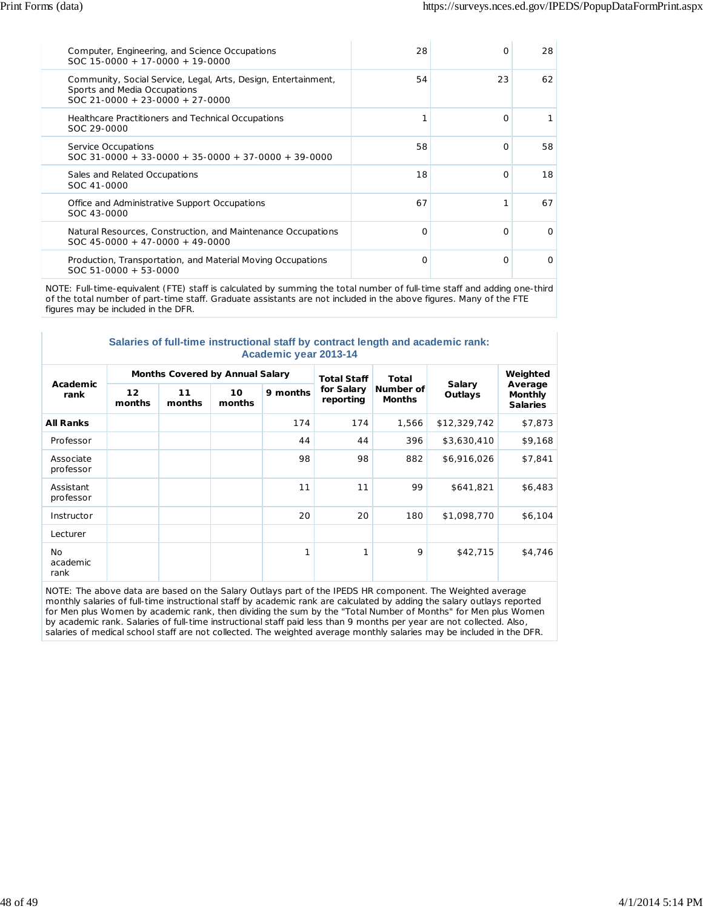| Computer, Engineering, and Science Occupations<br>$SOC 15-0000 + 17-0000 + 19-0000$                                                 | 28 | O        | 28       |
|-------------------------------------------------------------------------------------------------------------------------------------|----|----------|----------|
| Community, Social Service, Legal, Arts, Design, Entertainment,<br>Sports and Media Occupations<br>$SOC$ 21-0000 + 23-0000 + 27-0000 | 54 | 23       | 62       |
| Healthcare Practitioners and Technical Occupations<br>SOC 29-0000                                                                   |    | $\Omega$ |          |
| Service Occupations<br>$SOC$ 31-0000 + 33-0000 + 35-0000 + 37-0000 + 39-0000                                                        | 58 | $\Omega$ | 58       |
| Sales and Related Occupations<br>SOC 41-0000                                                                                        | 18 | $\Omega$ | 18       |
| Office and Administrative Support Occupations<br>SOC 43-0000                                                                        | 67 |          | 67       |
| Natural Resources, Construction, and Maintenance Occupations<br>$SOC$ 45-0000 + 47-0000 + 49-0000                                   | O  | $\Omega$ | $\Omega$ |
| Production, Transportation, and Material Moving Occupations<br>$SOC 51-0000 + 53-0000$                                              | O  | $\Omega$ | O        |

NOTE: Full-time-equivalent (FTE) staff is calculated by summing the total number of full-time staff and adding one-third of the total number of part-time staff. Graduate assistants are not included in the above figures. Many of the FTE figures may be included in the DFR.

| Salaries of full-time instructional staff by contract length and academic rank: |  |  |  |  |  |  |  |  |
|---------------------------------------------------------------------------------|--|--|--|--|--|--|--|--|
| Academic year 2013-14                                                           |  |  |  |  |  |  |  |  |

| Academic<br>rank              |              | Months Covered by Annual Salary |              |          | <b>Total Staff</b>      | <b>Total</b><br>Number of<br><b>Months</b> | Salary<br>Outlays | Weighted<br>Average<br><b>Monthly</b><br><b>Salaries</b> |
|-------------------------------|--------------|---------------------------------|--------------|----------|-------------------------|--------------------------------------------|-------------------|----------------------------------------------------------|
|                               | 12<br>months | 11<br>months                    | 10<br>months | 9 months | for Salary<br>reporting |                                            |                   |                                                          |
| <b>All Ranks</b>              |              |                                 |              | 174      | 174                     | 1,566                                      | \$12,329,742      | \$7,873                                                  |
| Professor                     |              |                                 |              | 44       | 44                      | 396                                        | \$3,630,410       | \$9,168                                                  |
| Associate<br>professor        |              |                                 |              | 98       | 98                      | 882                                        | \$6,916,026       | \$7,841                                                  |
| Assistant<br>professor        |              |                                 |              | 11       | 11                      | 99                                         | \$641,821         | \$6,483                                                  |
| Instructor                    |              |                                 |              | 20       | 20                      | 180                                        | \$1,098,770       | \$6,104                                                  |
| Lecturer                      |              |                                 |              |          |                         |                                            |                   |                                                          |
| <b>No</b><br>academic<br>rank |              |                                 |              | 1        | 1                       | 9                                          | \$42,715          | \$4,746                                                  |

NOTE: The above data are based on the Salary Outlays part of the IPEDS HR component. The Weighted average monthly salaries of full-time instructional staff by academic rank are calculated by adding the salary outlays reported for Men plus Women by academic rank, then dividing the sum by the "Total Number of Months" for Men plus Women by academic rank. Salaries of full-time instructional staff paid less than 9 months per year are not collected. Also, salaries of medical school staff are not collected. The weighted average monthly salaries may be included in the DFR.